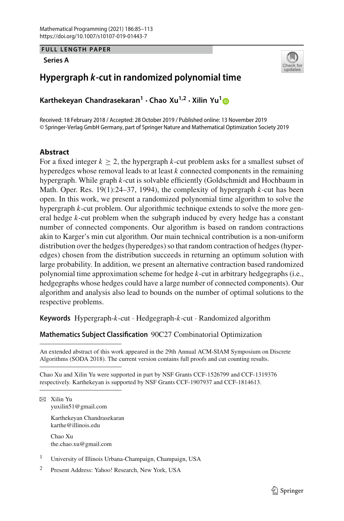**FULL LENGTH PAPER**

**Series A**



# **Hypergraph** *k***-cut in randomized polynomial time**

**Karthekeyan Chandrasekaran<sup>1</sup> · Chao Xu1,2 · Xilin Yu[1](http://orcid.org/0000-0002-6323-3755)**

Received: 18 February 2018 / Accepted: 28 October 2019 / Published online: 13 November 2019 © Springer-Verlag GmbH Germany, part of Springer Nature and Mathematical Optimization Society 2019

# **Abstract**

For a fixed integer  $k \geq 2$ , the hypergraph *k*-cut problem asks for a smallest subset of hyperedges whose removal leads to at least *k* connected components in the remaining hypergraph. While graph *k*-cut is solvable efficiently (Goldschmidt and Hochbaum in Math. Oper. Res. 19(1):24–37, 1994), the complexity of hypergraph *k*-cut has been open. In this work, we present a randomized polynomial time algorithm to solve the hypergraph *k*-cut problem. Our algorithmic technique extends to solve the more general hedge *k*-cut problem when the subgraph induced by every hedge has a constant number of connected components. Our algorithm is based on random contractions akin to Karger's min cut algorithm. Our main technical contribution is a non-uniform distribution over the hedges (hyperedges) so that random contraction of hedges (hyperedges) chosen from the distribution succeeds in returning an optimum solution with large probability. In addition, we present an alternative contraction based randomized polynomial time approximation scheme for hedge *k*-cut in arbitrary hedgegraphs (i.e., hedgegraphs whose hedges could have a large number of connected components). Our algorithm and analysis also lead to bounds on the number of optimal solutions to the respective problems.

**Keywords** Hypergraph-*k*-cut · Hedgegraph-*k*-cut · Randomized algorithm

**Mathematics Subject Classification** 90C27 Combinatorial Optimization

Chao Xu and Xilin Yu were supported in part by NSF Grants CCF-1526799 and CCF-1319376 respectively. Karthekeyan is supported by NSF Grants CCF-1907937 and CCF-1814613.

 $\boxtimes$  Xilin Yu yuxilin51@gmail.com

> Karthekeyan Chandrasekaran karthe@illinois.edu

Chao Xu the.chao.xu@gmail.com

<sup>1</sup> University of Illinois Urbana-Champaign, Champaign, USA

<sup>2</sup> Present Address: Yahoo! Research, New York, USA

An extended abstract of this work appeared in the 29th Annual ACM-SIAM Symposium on Discrete Algorithms (SODA 2018). The current version contains full proofs and cut counting results.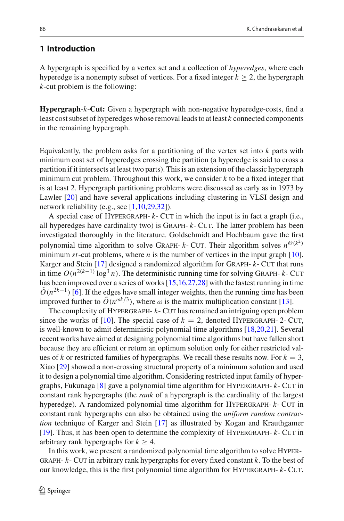# **1 Introduction**

A hypergraph is specified by a vertex set and a collection of *hyperedges*, where each hyperedge is a nonempty subset of vertices. For a fixed integer  $k > 2$ , the hypergraph *k*-cut problem is the following:

**Hypergraph**-*k*-**Cut:** Given a hypergraph with non-negative hyperedge-costs, find a least cost subset of hyperedges whose removal leads to at least *k* connected components in the remaining hypergraph.

Equivalently, the problem asks for a partitioning of the vertex set into  $k$  parts with minimum cost set of hyperedges crossing the partition (a hyperedge is said to cross a partition if it intersects at least two parts). This is an extension of the classic hypergraph minimum cut problem. Throughout this work, we consider *k* to be a fixed integer that is at least 2. Hypergraph partitioning problems were discussed as early as in 1973 by Lawler [\[20](#page-27-0)] and have several applications including clustering in VLSI design and network reliability (e.g., see  $[1,10,29,32]$  $[1,10,29,32]$  $[1,10,29,32]$  $[1,10,29,32]$ ).

A special case of HYPERGRAPH- $k$ - CUT in which the input is in fact a graph (i.e., all hyperedges have cardinality two) is Graph- *k*- Cut. The latter problem has been investigated thoroughly in the literature. Goldschmidt and Hochbaum gave the first polynomial time algorithm to solve GRAPH-  $k$ - CUT. Their algorithm solves  $n^{\Theta(k^2)}$ minimum  $st$ -cut problems, where  $n$  is the number of vertices in the input graph  $[10]$  $[10]$ . Karger and Stein [\[17\]](#page-27-2) designed a randomized algorithm for GRAPH-  $k$ - CUT that runs in time  $O(n^{2(k-1)} \log^3 n)$ . The deterministic running time for solving GRAPH- *k*- CUT has been improved over a series of works [\[15](#page-27-3)[,16](#page-27-4)[,27](#page-27-5)[,28](#page-28-2)] with the fastest running in time  $O(n^{2k-1})$  [\[6\]](#page-27-6). If the edges have small integer weights, then the running time has been improved further to  $\tilde{O}(n^{\omega k/3})$ , where  $\omega$  is the matrix multiplication constant [\[13\]](#page-27-7).

The complexity of HYPERGRAPH-  $k$ - CUT has remained an intriguing open problem since the works of [\[10\]](#page-27-1). The special case of  $k = 2$ , denoted HYPERGRAPH- 2- CUT, is well-known to admit deterministic polynomial time algorithms [\[18](#page-27-8)[,20](#page-27-0)[,21](#page-27-9)]. Several recent works have aimed at designing polynomial time algorithms but have fallen short because they are efficient or return an optimum solution only for either restricted values of *k* or restricted families of hypergraphs. We recall these results now. For  $k = 3$ , Xiao [\[29\]](#page-28-0) showed a non-crossing structural property of a minimum solution and used it to design a polynomial time algorithm. Considering restricted input family of hypergraphs, Fukunaga [\[8](#page-27-10)] gave a polynomial time algorithm for Hypergraph- *k*- Cut in constant rank hypergraphs (the *rank* of a hypergraph is the cardinality of the largest hyperedge). A randomized polynomial time algorithm for HYPERGRAPH-  $k$ - CUT in constant rank hypergraphs can also be obtained using the *uniform random contraction* technique of Karger and Stein [\[17](#page-27-2)] as illustrated by Kogan and Krauthgamer [\[19](#page-27-11)]. Thus, it has been open to determine the complexity of Hypergraph- *k*- Cut in arbitrary rank hypergraphs for  $k \geq 4$ .

In this work, we present a randomized polynomial time algorithm to solve Hyper-GRAPH- $k$ - CUT in arbitrary rank hypergraphs for every fixed constant  $k$ . To the best of our knowledge, this is the first polynomial time algorithm for Hypergraph- *k*- Cut.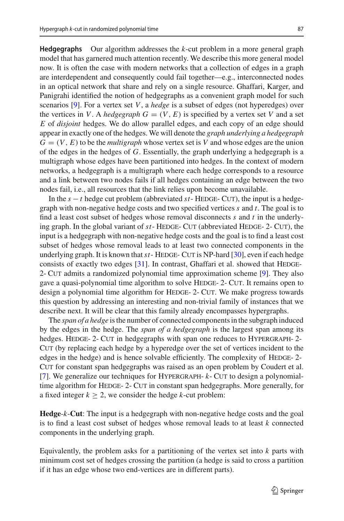**Hedgegraphs** Our algorithm addresses the *k*-cut problem in a more general graph model that has garnered much attention recently. We describe this more general model now. It is often the case with modern networks that a collection of edges in a graph are interdependent and consequently could fail together—e.g., interconnected nodes in an optical network that share and rely on a single resource. Ghaffari, Karger, and Panigrahi identified the notion of hedgegraphs as a convenient graph model for such scenarios [\[9\]](#page-27-12). For a vertex set *V*, a *hedge* is a subset of edges (not hyperedges) over the vertices in *V*. A *hedgegraph*  $G = (V, E)$  is specified by a vertex set *V* and a set *E* of *disjoint* hedges. We do allow parallel edges, and each copy of an edge should appear in exactly one of the hedges. We will denote the *graph underlying a hedgegraph*  $G = (V, E)$  to be the *multigraph* whose vertex set is V and whose edges are the union of the edges in the hedges of *G*. Essentially, the graph underlying a hedgegraph is a multigraph whose edges have been partitioned into hedges. In the context of modern networks, a hedgegraph is a multigraph where each hedge corresponds to a resource and a link between two nodes fails if all hedges containing an edge between the two nodes fail, i.e., all resources that the link relies upon become unavailable.

In the  $s - t$  hedge cut problem (abbreviated  $st$ - HEDGE- CUT), the input is a hedgegraph with non-negative hedge costs and two specified vertices *s* and *t*. The goal is to find a least cost subset of hedges whose removal disconnects *s* and *t* in the underlying graph. In the global variant of  $st$ - HEDGE- CUT (abbreviated HEDGE- 2- CUT), the input is a hedgegraph with non-negative hedge costs and the goal is to find a least cost subset of hedges whose removal leads to at least two connected components in the underlying graph. It is known that *st* - HEDGE- CUT is NP-hard [\[30\]](#page-28-3), even if each hedge consists of exactly two edges  $[31]$  $[31]$ . In contrast, Ghaffari et al. showed that HEDGE-2- Cut admits a randomized polynomial time approximation scheme [\[9\]](#page-27-12). They also gave a quasi-polynomial time algorithm to solve HEDGE- 2- CUT. It remains open to design a polynomial time algorithm for HEDGE- 2- CUT. We make progress towards this question by addressing an interesting and non-trivial family of instances that we describe next. It will be clear that this family already encompasses hypergraphs.

The *span of a hedge* is the number of connected components in the subgraph induced by the edges in the hedge. The *span of a hedgegraph* is the largest span among its hedges. HEDGE- 2- CUT in hedgegraphs with span one reduces to HYPERGRAPH- 2-CUT (by replacing each hedge by a hyperedge over the set of vertices incident to the edges in the hedge) and is hence solvable efficiently. The complexity of HEDGE-2-CUT for constant span hedgegraphs was raised as an open problem by Coudert et al. [\[7](#page-27-13)]. We generalize our techniques for HYPERGRAPH-  $k$ - CUT to design a polynomialtime algorithm for HEDGE-2- CUT in constant span hedgegraphs. More generally, for a fixed integer  $k \geq 2$ , we consider the hedge *k*-cut problem:

**Hedge**-*k*-**Cut**: The input is a hedgegraph with non-negative hedge costs and the goal is to find a least cost subset of hedges whose removal leads to at least *k* connected components in the underlying graph.

Equivalently, the problem asks for a partitioning of the vertex set into *k* parts with minimum cost set of hedges crossing the partition (a hedge is said to cross a partition if it has an edge whose two end-vertices are in different parts).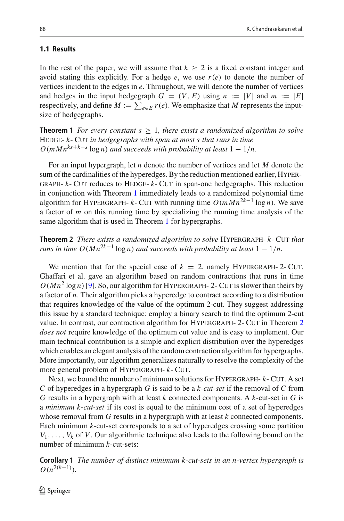## **1.1 Results**

In the rest of the paper, we will assume that  $k \geq 2$  is a fixed constant integer and avoid stating this explicitly. For a hedge  $e$ , we use  $r(e)$  to denote the number of vertices incident to the edges in *e*. Throughout, we will denote the number of vertices and hedges in the input hedgegraph  $G = (V, E)$  using  $n := |V|$  and  $m := |E|$ respectively, and define  $M := \sum_{e \in E} r(e)$ . We emphasize that *M* represents the inputsize of hedgegraphs.

<span id="page-3-0"></span>**Theorem 1** *For every constant s* ≥ 1*, there exists a randomized algorithm to solve* HEDGE-  $k$ - CUT *in hedgegraphs with span at most s that runs in time*  $O(mMn^{ks+k-s} \log n)$  *and succeeds with probability at least*  $1 - 1/n$ .

For an input hypergraph, let *n* denote the number of vertices and let *M* denote the sum of the cardinalities of the hyperedges. By the reduction mentioned earlier, Hyper-GRAPH- $k$ - CUT reduces to HEDGE- $k$ - CUT in span-one hedgegraphs. This reduction in conjunction with Theorem [1](#page-3-0) immediately leads to a randomized polynomial time algorithm for HYPERGRAPH-  $k$ - CUT with running time  $O(mMn^{2k-1} \log n)$ . We save a factor of *m* on this running time by specializing the running time analysis of the same algorithm that is used in Theorem [1](#page-3-0) for hypergraphs.

<span id="page-3-1"></span>**Theorem 2** *There exists a randomized algorithm to solve* Hypergraph- *k*- Cut *that runs in time O*( $Mn^{2k-1}$  log *n*) *and succeeds with probability at least*  $1 - 1/n$ .

We mention that for the special case of  $k = 2$ , namely HYPERGRAPH- 2- CUT, Ghaffari et al. gave an algorithm based on random contractions that runs in time  $O(Mn^2 \log n)$  [\[9\]](#page-27-12). So, our algorithm for HYPERGRAPH- 2- CUT is slower than theirs by a factor of *n*. Their algorithm picks a hyperedge to contract according to a distribution that requires knowledge of the value of the optimum 2-cut. They suggest addressing this issue by a standard technique: employ a binary search to find the optimum 2-cut value. In contrast, our contraction algorithm for Hypergraph- 2- Cut in Theorem [2](#page-3-1) *does not* require knowledge of the optimum cut value and is easy to implement. Our main technical contribution is a simple and explicit distribution over the hyperedges which enables an elegant analysis of the random contraction algorithm for hypergraphs. More importantly, our algorithm generalizes naturally to resolve the complexity of the more general problem of Hypergraph- *k*- Cut.

Next, we bound the number of minimum solutions for Hypergraph- *k*- Cut. A set *C* of hyperedges in a hypergraph *G* is said to be a *k*-*cut-set* if the removal of *C* from *G* results in a hypergraph with at least *k* connected components. A *k*-cut-set in *G* is a *minimum k*-*cut-set* if its cost is equal to the minimum cost of a set of hyperedges whose removal from *G* results in a hypergraph with at least *k* connected components. Each minimum *k*-cut-set corresponds to a set of hyperedges crossing some partition  $V_1, \ldots, V_k$  of *V*. Our algorithmic technique also leads to the following bound on the number of minimum *k*-cut-sets:

<span id="page-3-2"></span>**Corollary 1** *The number of distinct minimum k-cut-sets in an n-vertex hypergraph is*  $O(n^{2(k-1)})$ .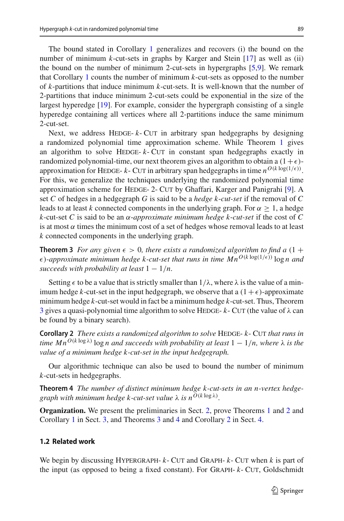The bound stated in Corollary [1](#page-3-2) generalizes and recovers (i) the bound on the number of minimum *k*-cut-sets in graphs by Karger and Stein [\[17\]](#page-27-2) as well as (ii) the bound on the number of minimum 2-cut-sets in hypergraphs [\[5](#page-27-14)[,9\]](#page-27-12). We remark that Corollary [1](#page-3-2) counts the number of minimum *k*-cut-sets as opposed to the number of *k*-partitions that induce minimum *k*-cut-sets. It is well-known that the number of 2-partitions that induce minimum 2-cut-sets could be exponential in the size of the largest hyperedge [\[19\]](#page-27-11). For example, consider the hypergraph consisting of a single hyperedge containing all vertices where all 2-partitions induce the same minimum 2-cut-set.

Next, we address HEDGE- $k$ - CUT in arbitrary span hedgegraphs by designing a randomized polynomial time approximation scheme. While Theorem [1](#page-3-0) gives an algorithm to solve HEDGE-  $k$ - CUT in constant span hedgegraphs exactly in randomized polynomial-time, our next theorem gives an algorithm to obtain a  $(1+\epsilon)$ approximation for HEDGE- *k*- CUT in arbitrary span hedgegraphs in time  $n^{O(k \log(1/\epsilon))}$ . For this, we generalize the techniques underlying the randomized polynomial time approximation scheme for HEDGE- 2- CUT by Ghaffari, Karger and Panigrahi [\[9](#page-27-12)]. A set *C* of hedges in a hedgegraph *G* is said to be a *hedge k*-*cut-set* if the removal of *C* leads to at least *k* connected components in the underlying graph. For  $\alpha \geq 1$ , a hedge  $k$ -cut-set *C* is said to be an  $\alpha$ -*approximate minimum hedge*  $k$ -*cut-set* if the cost of *C* is at most  $\alpha$  times the minimum cost of a set of hedges whose removal leads to at least *k* connected components in the underlying graph.

<span id="page-4-0"></span>**Theorem 3** *For any given*  $\epsilon > 0$ *, there exists a randomized algorithm to find a*  $(1 +$  $\epsilon$ )-approximate minimum hedge k-cut-set that runs in time  $Mn^{O(k \log(1/\epsilon))} \log n$  and *succeeds with probability at least*  $1 - \frac{1}{n}$ .

Setting  $\epsilon$  to be a value that is strictly smaller than  $1/\lambda$ , where  $\lambda$  is the value of a minimum hedge *k*-cut-set in the input hedgegraph, we observe that a  $(1+\epsilon)$ -approximate minimum hedge *k*-cut-set would in fact be a minimum hedge *k*-cut-set. Thus, Theorem [3](#page-4-0) gives a quasi-polynomial time algorithm to solve HEDGE-  $k$ - CUT (the value of  $\lambda$  can be found by a binary search).

<span id="page-4-2"></span>**Corollary 2** *There exists a randomized algorithm to solve* HEDGE-  $k$ - CUT *that runs in time*  $Mn^{O(k \log \lambda)}$  log *n* and succeeds with probability at least  $1 - 1/n$ , where  $\lambda$  is the *value of a minimum hedge k-cut-set in the input hedgegraph.*

<span id="page-4-1"></span>Our algorithmic technique can also be used to bound the number of minimum *k*-cut-sets in hedgegraphs.

**Theorem 4** *The number of distinct minimum hedge k-cut-sets in an n-vertex hedgegraph with minimum hedge k-cut-set value*  $\lambda$  *is n*<sup>O(*k* log  $\lambda$ )</sup>.

**Organization.** We present the preliminaries in Sect. [2,](#page-6-0) prove Theorems [1](#page-3-0) and [2](#page-3-1) and Corollary [1](#page-3-2) in Sect. [3,](#page-7-0) and Theorems [3](#page-4-0) and [4](#page-4-1) and Corollary [2](#page-4-2) in Sect. [4.](#page-17-0)

## **1.2 Related work**

We begin by discussing HYPERGRAPH-  $k$ - CUT and GRAPH-  $k$ - CUT when  $k$  is part of the input (as opposed to being a fixed constant). For Graph- *k*- Cut, Goldschmidt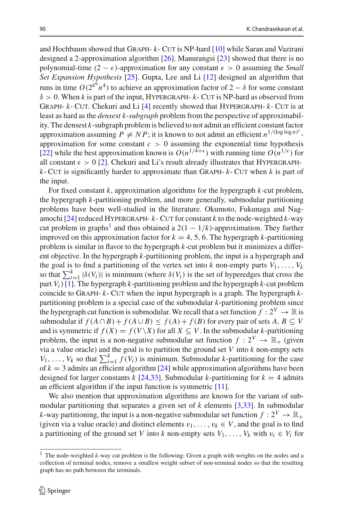and Hochbaum showed that Graph- *k*- Cut is NP-hard [\[10](#page-27-1)] while Saran and Vazirani designed a 2-approximation algorithm [\[26](#page-27-15)]. Manurangsi [\[23\]](#page-27-16) showed that there is no polynomial-time  $(2 - \epsilon)$ -approximation for any constant  $\epsilon > 0$  assuming the *Small Set Expansion Hypothesis* [\[25](#page-27-17)]. Gupta, Lee and Li [\[12](#page-27-18)] designed an algorithm that runs in time  $O(2^{k^6} n^4)$  to achieve an approximation factor of  $2 - \delta$  for some constant  $\delta > 0$ . When *k* is part of the input, HYPERGRAPH- *k*- CUT is NP-hard as observed from Graph- *k*- Cut. Chekuri and Li [\[4](#page-27-19)] recently showed that Hypergraph- *k*- Cut is at least as hard as the *densest k*-*subgraph* problem from the perspective of approximability. The densest *k*-subgraph problem is believed to not admit an efficient constant factor approximation assuming  $P \neq NP$ ; it is known to not admit an efficient  $n^{1/(\log \log n)^c}$ . approximation for some constant  $c > 0$  assuming the exponential time hypothesis [\[22](#page-27-20)] while the best approximation known is  $O(n^{1/4+\epsilon})$  with running time  $O(n^{1/\epsilon})$  for all constant  $\epsilon > 0$  [\[2\]](#page-27-21). Chekuri and Li's result already illustrates that HYPERGRAPH $k$ - Cut is significantly harder to approximate than GRAPH- $k$ - Cut when  $k$  is part of the input.

For fixed constant *k*, approximation algorithms for the hypergraph *k*-cut problem, the hypergraph *k*-partitioning problem, and more generally, submodular partitioning problems have been well-studied in the literature. Okumoto, Fukunaga and Nagamochi  $[24]$  $[24]$  reduced HYPERGRAPH-  $k$ - CUT for constant  $k$  to the node-weighted  $k$ -way cut problem in graphs<sup>1</sup> and thus obtained a  $2(1 - 1/k)$ -approximation. They further improved on this approximation factor for  $k = 4, 5, 6$ . The hypergraph *k*-partitioning problem is similar in flavor to the hypergraph *k*-cut problem but it minimizes a different objective. In the hypergraph *k*-partitioning problem, the input is a hypergraph and the goal is to find a partitioning of the vertex set into  $k$  non-empty parts  $V_1, \ldots, V_k$ so that  $\sum_{i=1}^{k} |\delta(V_i)|$  is minimum (where  $\delta(V_i)$  is the set of hyperedges that cross the part  $V_i$ ) [\[1](#page-26-0)]. The hypergraph *k*-partitioning problem and the hypergraph *k*-cut problem coincide to Graph- *k*- Cut when the input hypergraph is a graph. The hypergraph *k*partitioning problem is a special case of the submodular *k*-partitioning problem since the hypergraph cut function is submodular. We recall that a set function  $f: 2^V \to \mathbb{R}$  is submodular if  $f(A \cap B) + f(A \cup B) \le f(A) + f(B)$  for every pair of sets  $A, B \subseteq V$ and is symmetric if  $f(X) = f(V\setminus X)$  for all  $X \subseteq V$ . In the submodular *k*-partitioning problem, the input is a non-negative submodular set function  $f: 2^V \to \mathbb{R}_+$  (given via a value oracle) and the goal is to partition the ground set *V* into *k* non-empty sets  $V_1, \ldots, V_k$  so that  $\sum_{i=1}^k f(V_i)$  is minimum. Submodular *k*-partitioning for the case of  $k = 3$  admits an efficient algorithm  $\lceil 24 \rceil$  while approximation algorithms have been designed for larger constants  $k$  [\[24](#page-27-22)[,33](#page-28-5)]. Submodular  $k$ -partitioning for  $k = 4$  admits an efficient algorithm if the input function is symmetric [\[11\]](#page-27-23).

We also mention that approximation algorithms are known for the variant of submodular partitioning that separates a given set of *k* elements [\[3](#page-27-24)[,33\]](#page-28-5). In submodular *k*-way partitioning, the input is a non-negative submodular set function  $f: 2^V \to \mathbb{R}_+$ (given via a value oracle) and distinct elements  $v_1, \ldots, v_k \in V$ , and the goal is to find a partitioning of the ground set *V* into *k* non-empty sets  $V_1, \ldots, V_k$  with  $v_i \in V_i$  for

<span id="page-5-0"></span><sup>1</sup> The node-weighted *k*-way cut problem is the following: Given a graph with weights on the nodes and a collection of terminal nodes, remove a smallest weight subset of non-terminal nodes so that the resulting graph has no path between the terminals.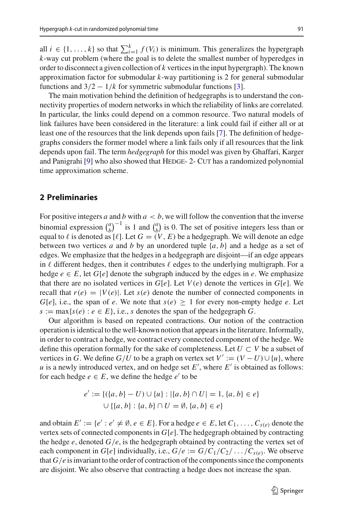all  $i \in \{1, ..., k\}$  so that  $\sum_{i=1}^{k} f(V_i)$  is minimum. This generalizes the hypergraph *k*-way cut problem (where the goal is to delete the smallest number of hyperedges in order to disconnect a given collection of *k* vertices in the input hypergraph). The known approximation factor for submodular *k*-way partitioning is 2 for general submodular functions and  $3/2 - 1/k$  for symmetric submodular functions [\[3](#page-27-24)].

The main motivation behind the definition of hedgegraphs is to understand the connectivity properties of modern networks in which the reliability of links are correlated. In particular, the links could depend on a common resource. Two natural models of link failures have been considered in the literature: a link could fail if either all or at least one of the resources that the link depends upon fails [\[7\]](#page-27-13). The definition of hedgegraphs considers the former model where a link fails only if all resources that the link depends upon fail. The term *hedgegraph* for this model was given by Ghaffari, Karger and Panigrahi [\[9\]](#page-27-12) who also showed that HEDGE-2- CUT has a randomized polynomial time approximation scheme.

# <span id="page-6-0"></span>**2 Preliminaries**

For positive integers *a* and *b* with  $a < b$ , we will follow the convention that the inverse binomial expression  $\binom{a}{b}^{-1}$  is 1 and  $\binom{a}{b}$  is 0. The set of positive integers less than or equal to  $\ell$  is denoted as  $[\ell]$ . Let  $G = (V, E)$  be a hedgegraph. We will denote an edge between two vertices *a* and *b* by an unordered tuple {*a*, *b*} and a hedge as a set of edges. We emphasize that the hedges in a hedgegraph are disjoint—if an edge appears in  $\ell$  different hedges, then it contributes  $\ell$  edges to the underlying multigraph. For a hedge  $e \in E$ , let  $G[e]$  denote the subgraph induced by the edges in *e*. We emphasize that there are no isolated vertices in  $G[e]$ . Let  $V(e)$  denote the vertices in  $G[e]$ . We recall that  $r(e) = |V(e)|$ . Let  $s(e)$  denote the number of connected components in *G*[ $e$ ], i.e., the span of  $e$ . We note that  $s(e) \geq 1$  for every non-empty hedge  $e$ . Let  $s := \max\{s(e) : e \in E\}$ , i.e., *s* denotes the span of the hedgegraph *G*.

Our algorithm is based on repeated contractions. Our notion of the contraction operation is identical to the well-known notion that appears in the literature. Informally, in order to contract a hedge, we contract every connected component of the hedge. We define this operation formally for the sake of completeness. Let  $U \subset V$  be a subset of vertices in *G*. We define  $G/U$  to be a graph on vertex set  $V' := (V - U) \cup \{u\}$ , where *u* is a newly introduced vertex, and on hedge set  $E'$ , where  $E'$  is obtained as follows: for each hedge  $e \in E$ , we define the hedge  $e'$  to be

$$
e' := \{ (\{a, b\} - U) \cup \{u\} : |\{a, b\} \cap U| = 1, \{a, b\} \in e \}
$$
  

$$
\cup \{ \{a, b\} : \{a, b\} \cap U = \emptyset, \{a, b\} \in e \}
$$

and obtain  $E' := \{e' : e' \neq \emptyset, e \in E\}$ . For a hedge  $e \in E$ , let  $C_1, \ldots, C_{s(e)}$  denote the vertex sets of connected components in  $G[e]$ . The hedgegraph obtained by contracting the hedge  $e$ , denoted  $G/e$ , is the hedgegraph obtained by contracting the vertex set of each component in  $G[e]$  individually, i.e.,  $G/e := G/C_1/C_2/\ldots/C_{S(e)}$ . We observe that  $G/e$  is invariant to the order of contraction of the components since the components are disjoint. We also observe that contracting a hedge does not increase the span.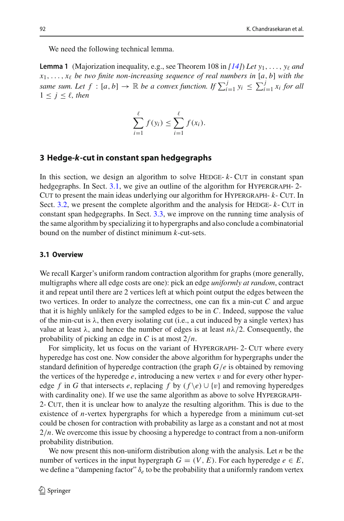<span id="page-7-2"></span>We need the following technical lemma.

**Lemma 1** (Majorization inequality, e.g., see Theorem 108 in  $(14i)$  Let  $y_1, \ldots, y_\ell$  and  $x_1, \ldots, x_\ell$  be two finite non-increasing sequence of real numbers in [a, b] with the *same sum. Let*  $f : [a, b] \to \mathbb{R}$  *be a convex function. If*  $\sum_{i=1}^{j} y_i \leq \sum_{i=1}^{j} x_i$  *for all*  $1 < j < \ell$ , then

$$
\sum_{i=1}^{\ell} f(y_i) \leq \sum_{i=1}^{\ell} f(x_i).
$$

## <span id="page-7-0"></span>**3 Hedge-***k***-cut in constant span hedgegraphs**

In this section, we design an algorithm to solve HEDGE- $k$ - CUT in constant span hedgegraphs. In Sect. [3.1,](#page-7-1) we give an outline of the algorithm for HYPERGRAPH-2-CUT to present the main ideas underlying our algorithm for HYPERGRAPH-  $k$ - CUT. In Sect. [3.2,](#page-9-0) we present the complete algorithm and the analysis for HEDGE-  $k$ - CUT in constant span hedgegraphs. In Sect. [3.3,](#page-16-0) we improve on the running time analysis of the same algorithm by specializing it to hypergraphs and also conclude a combinatorial bound on the number of distinct minimum *k*-cut-sets.

#### <span id="page-7-1"></span>**3.1 Overview**

We recall Karger's uniform random contraction algorithm for graphs (more generally, multigraphs where all edge costs are one): pick an edge *uniformly at random*, contract it and repeat until there are 2 vertices left at which point output the edges between the two vertices. In order to analyze the correctness, one can fix a min-cut *C* and argue that it is highly unlikely for the sampled edges to be in *C*. Indeed, suppose the value of the min-cut is  $\lambda$ , then every isolating cut (i.e., a cut induced by a single vertex) has value at least  $\lambda$ , and hence the number of edges is at least  $n\lambda/2$ . Consequently, the probability of picking an edge in *C* is at most 2/*n*.

For simplicity, let us focus on the variant of HYPERGRAPH- 2- CUT where every hyperedge has cost one. Now consider the above algorithm for hypergraphs under the standard definition of hyperedge contraction (the graph *G*/*e* is obtained by removing the vertices of the hyperedge  $e$ , introducing a new vertex  $v$  and for every other hyperedge *f* in *G* that intersects *e*, replacing *f* by  $(f \le e) \cup \{v\}$  and removing hyperedges with cardinality one). If we use the same algorithm as above to solve HYPERGRAPH-2- Cut, then it is unclear how to analyze the resulting algorithm. This is due to the existence of *n*-vertex hypergraphs for which a hyperedge from a minimum cut-set could be chosen for contraction with probability as large as a constant and not at most 2/*n*. We overcome this issue by choosing a hyperedge to contract from a non-uniform probability distribution.

We now present this non-uniform distribution along with the analysis. Let *n* be the number of vertices in the input hypergraph  $G = (V, E)$ . For each hyperedge  $e \in E$ , we define a "dampening factor"  $\delta_e$  to be the probability that a uniformly random vertex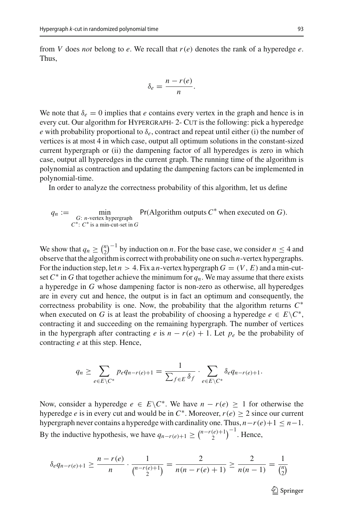from *V* does *not* belong to *e*. We recall that  $r(e)$  denotes the rank of a hyperedge *e*. Thus,

$$
\delta_e = \frac{n - r(e)}{n}.
$$

We note that  $\delta_e = 0$  implies that *e* contains every vertex in the graph and hence is in every cut. Our algorithm for Hypergraph- 2- Cut is the following: pick a hyperedge *e* with probability proportional to  $\delta_e$ , contract and repeat until either (i) the number of vertices is at most 4 in which case, output all optimum solutions in the constant-sized current hypergraph or (ii) the dampening factor of all hyperedges is zero in which case, output all hyperedges in the current graph. The running time of the algorithm is polynomial as contraction and updating the dampening factors can be implemented in polynomial-time.

In order to analyze the correctness probability of this algorithm, let us define

$$
q_n := \min_{\substack{G: n\text{-vertex hypergraph} \\ C^*: C^* \text{ is a min-cut-set in } G}} \Pr(\text{Algorithm outputs } C^* \text{ when executed on } G).
$$

We show that  $q_n \geq {n \choose 2}^{-1}$  by induction on *n*. For the base case, we consider  $n \leq 4$  and observe that the algorithm is correct with probability one on such *n*-vertex hypergraphs. For the induction step, let  $n > 4$ . Fix a *n*-vertex hypergraph  $G = (V, E)$  and a min-cutset  $C^*$  in *G* that together achieve the minimum for  $q_n$ . We may assume that there exists a hyperedge in *G* whose dampening factor is non-zero as otherwise, all hyperedges are in every cut and hence, the output is in fact an optimum and consequently, the correctness probability is one. Now, the probability that the algorithm returns *C*∗ when executed on *G* is at least the probability of choosing a hyperedge  $e \in E\setminus C^*$ , contracting it and succeeding on the remaining hypergraph. The number of vertices in the hypergraph after contracting *e* is  $n - r(e) + 1$ . Let  $p_e$  be the probability of contracting *e* at this step. Hence,

$$
q_n \geq \sum_{e \in E \setminus C^*} p_e q_{n-r(e)+1} = \frac{1}{\sum_{f \in E} \delta_f} \cdot \sum_{e \in E \setminus C^*} \delta_e q_{n-r(e)+1}.
$$

Now, consider a hyperedge  $e \in E \backslash C^*$ . We have  $n - r(e) \geq 1$  for otherwise the hyperedge *e* is in every cut and would be in  $C^*$ . Moreover,  $r(e) > 2$  since our current hypergraph never contains a hyperedge with cardinality one. Thus,  $n-r(e)+1 \leq n-1$ . By the inductive hypothesis, we have  $q_{n-r(e)+1} \geq {n-r(e)+1 \choose 2}^{-1}$ . Hence,

$$
\delta_e q_{n-r(e)+1} \ge \frac{n-r(e)}{n} \cdot \frac{1}{\binom{n-r(e)+1}{2}} = \frac{2}{n(n-r(e)+1)} \ge \frac{2}{n(n-1)} = \frac{1}{\binom{n}{2}}
$$

 $\mathcal{D}$  Springer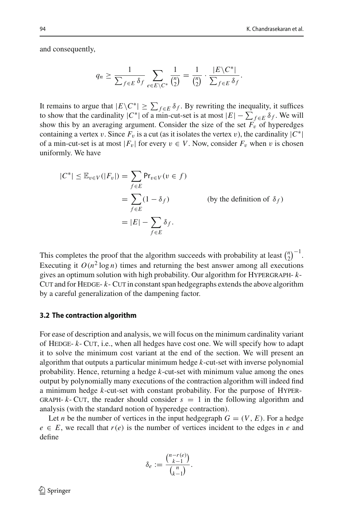and consequently,

$$
q_n \ge \frac{1}{\sum_{f \in E} \delta_f} \sum_{e \in E \setminus C^*} \frac{1}{\binom{n}{2}} = \frac{1}{\binom{n}{2}} \cdot \frac{|E \setminus C^*|}{\sum_{f \in E} \delta_f}.
$$

It remains to argue that  $|E\setminus C^*| \geq \sum_{f \in E} \delta_f$ . By rewriting the inequality, it suffices to show that the cardinality  $|C^*|$  of a min-cut-set is at most  $|E| - \sum_{f \in E} \delta_f$ . We will show this by an averaging argument. Consider the size of the set  $F_v$  of hyperedges containing a vertex v. Since  $F_v$  is a cut (as it isolates the vertex v), the cardinality  $|C^*|$ of a min-cut-set is at most  $|F_v|$  for every  $v \in V$ . Now, consider  $F_v$  when v is chosen uniformly. We have

$$
|C^*| \leq \mathbb{E}_{v \in V}(|F_v|) = \sum_{f \in E} Pr_{v \in V}(v \in f)
$$
  
= 
$$
\sum_{f \in E} (1 - \delta_f)
$$
 (by the definition of  $\delta_f$ )  
= 
$$
|E| - \sum_{f \in E} \delta_f.
$$

This completes the proof that the algorithm succeeds with probability at least  $\binom{n}{2}^{-1}$ . Executing it  $O(n^2 \log n)$  times and returning the best answer among all executions gives an optimum solution with high probability. Our algorithm for Hypergraph- *k*-CUT and for HEDGE- $k$ - CUT in constant span hedgegraphs extends the above algorithm by a careful generalization of the dampening factor.

#### <span id="page-9-0"></span>**3.2 The contraction algorithm**

For ease of description and analysis, we will focus on the minimum cardinality variant of Hedge- *k*- Cut, i.e., when all hedges have cost one. We will specify how to adapt it to solve the minimum cost variant at the end of the section. We will present an algorithm that outputs a particular minimum hedge *k*-cut-set with inverse polynomial probability. Hence, returning a hedge *k*-cut-set with minimum value among the ones output by polynomially many executions of the contraction algorithm will indeed find a minimum hedge *k*-cut-set with constant probability. For the purpose of Hyper-GRAPH-  $k$ - CUT, the reader should consider  $s = 1$  in the following algorithm and analysis (with the standard notion of hyperedge contraction).

Let *n* be the number of vertices in the input hedgegraph  $G = (V, E)$ . For a hedge  $e \in E$ , we recall that  $r(e)$  is the number of vertices incident to the edges in *e* and define

$$
\delta_e := \frac{\binom{n-r(e)}{k-1}}{\binom{n}{k-1}}.
$$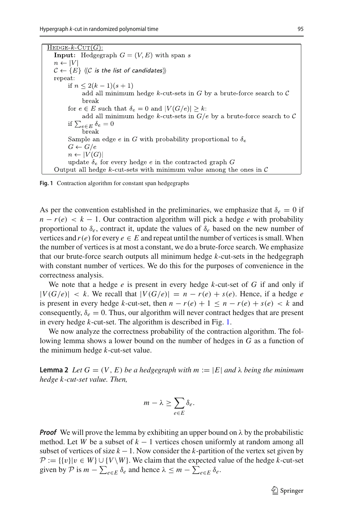$HEDGE-k-CUT(G)$ : **Input:** Hedgegraph  $G = (V, E)$  with span s  $n \leftarrow |V|$  $\mathcal{C} \leftarrow \{E\}$   $\langle\langle \mathcal{C} \rangle$  is the list of candidates) repeat: if  $n \leq 2(k-1)(s+1)$ add all minimum hedge  $k$ -cut-sets in  $G$  by a brute-force search to  $C$ break for  $e \in E$  such that  $\delta_e = 0$  and  $|V(G/e)| \geq k$ : add all minimum hedge k-cut-sets in  $G/e$  by a brute-force search to C if  $\sum_{e \in E} \delta_e = 0$ break Sample an edge e in G with probability proportional to  $\delta_e$  $G \leftarrow G/e$  $n \leftarrow |V(G)|$ update  $\delta_e$  for every hedge e in the contracted graph G Output all hedge k-cut-sets with minimum value among the ones in  $\mathcal C$ 

<span id="page-10-0"></span>**Fig. 1** Contraction algorithm for constant span hedgegraphs

As per the convention established in the preliminaries, we emphasize that  $\delta_e = 0$  if  $n - r(e) < k - 1$ . Our contraction algorithm will pick a hedge *e* with probability proportional to  $\delta_e$ , contract it, update the values of  $\delta_e$  based on the new number of vertices and  $r(e)$  for every  $e \in E$  and repeat until the number of vertices is small. When the number of vertices is at most a constant, we do a brute-force search. We emphasize that our brute-force search outputs all minimum hedge *k*-cut-sets in the hedgegraph with constant number of vertices. We do this for the purposes of convenience in the correctness analysis.

We note that a hedge *e* is present in every hedge *k*-cut-set of *G* if and only if  $|V(G/e)| < k$ . We recall that  $|V(G/e)| = n - r(e) + s(e)$ . Hence, if a hedge *e* is present in every hedge *k*-cut-set, then  $n - r(e) + 1 \le n - r(e) + s(e) < k$  and consequently,  $\delta_e = 0$ . Thus, our algorithm will never contract hedges that are present in every hedge *k*-cut-set. The algorithm is described in Fig. [1.](#page-10-0)

We now analyze the correctness probability of the contraction algorithm. The following lemma shows a lower bound on the number of hedges in *G* as a function of the minimum hedge *k*-cut-set value.

<span id="page-10-1"></span>**Lemma 2** Let  $G = (V, E)$  be a hedgegraph with  $m := |E|$  and  $\lambda$  being the minimum *hedge k-cut-set value. Then,*

$$
m - \lambda \geq \sum_{e \in E} \delta_e.
$$

*Proof* We will prove the lemma by exhibiting an upper bound on  $\lambda$  by the probabilistic method. Let *W* be a subset of  $k - 1$  vertices chosen uniformly at random among all subset of vertices of size  $k - 1$ . Now consider the  $k$ -partition of the vertex set given by *P* := {{v}|v ∈ *W*}∪{*V*\*W*}. We claim that the expected value of the hedge *k*-cut-set given by  $P$  is  $m - \sum_{e \in E} \delta_e$  and hence  $\lambda \leq m - \sum_{e \in E} \delta_e$ .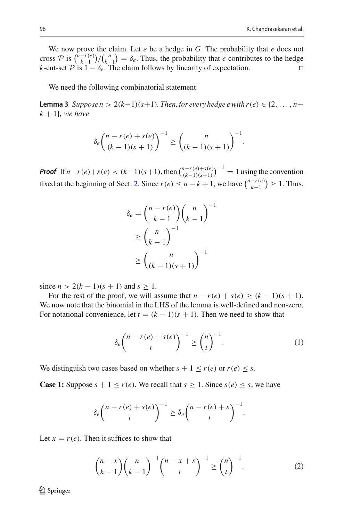We now prove the claim. Let *e* be a hedge in *G*. The probability that *e* does not cross  $\mathcal{P}$  is  $\binom{n-r(e)}{k-1}$  / $\binom{n}{k-1} = \delta_e$ . Thus, the probability that *e* contributes to the hedge *k*-cut-set  $\mathcal{P}$  is  $1 - \delta_e$ . The claim follows by linearity of expectation.

We need the following combinatorial statement.

**Lemma 3** *Suppose n* > 2( $k-1$ )( $s+1$ )*. Then, for every hedge e with r*( $e$ ) ∈ {2, ..., *n*−  $k + 1$ *}, we have* 

<span id="page-11-1"></span>
$$
\delta_e \binom{n - r(e) + s(e)}{(k - 1)(s + 1)}^{-1} \ge \binom{n}{(k - 1)(s + 1)}^{-1}.
$$

*Proof* If  $n - r(e) + s(e) < (k-1)(s+1)$ , then  $\binom{n - r(e) + s(e)}{(k-1)(s+1)}^{-1} = 1$  using the convention fixed at the beginning of Sect. [2.](#page-6-0) Since  $r(e) \le n - k + 1$ , we have  $\binom{n - r(e)}{k-1} \ge 1$ . Thus,

$$
\delta_e = {n - r(e) \choose k - 1} {n \choose k - 1}^{-1}
$$

$$
\geq {n \choose k - 1}^{-1}
$$

$$
\geq {n \choose (k - 1)(s + 1)}^{-1}
$$

since  $n > 2(k-1)(s+1)$  and  $s > 1$ .

For the rest of the proof, we will assume that  $n - r(e) + s(e) \ge (k - 1)(s + 1)$ . We now note that the binomial in the LHS of the lemma is well-defined and non-zero. For notational convenience, let  $t = (k - 1)(s + 1)$ . Then we need to show that

$$
\delta_e \binom{n - r(e) + s(e)}{t}^{-1} \ge \binom{n}{t}^{-1}.\tag{1}
$$

We distinguish two cases based on whether  $s + 1 \le r(e)$  or  $r(e) \le s$ .

**Case 1:** Suppose  $s + 1 \le r(e)$ . We recall that  $s \ge 1$ . Since  $s(e) \le s$ , we have

$$
\delta_e \binom{n - r(e) + s(e)}{t}^{-1} \ge \delta_e \binom{n - r(e) + s}{t}^{-1}.
$$

Let  $x = r(e)$ . Then it suffices to show that

<span id="page-11-0"></span>
$$
\binom{n-x}{k-1}\binom{n}{k-1}^{-1}\binom{n-x+s}{t}^{-1} \ge \binom{n}{t}^{-1}.\tag{2}
$$

 $\mathcal{D}$  Springer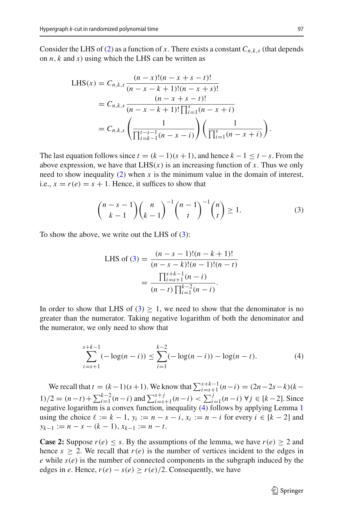Consider the LHS of [\(2\)](#page-11-0) as a function of *x*. There exists a constant  $C_{n,k,s}$  (that depends on *n*, *k* and *s*) using which the LHS can be written as

LHS(x) = 
$$
C_{n,k,s} \frac{(n-x)!(n-x+s-t)!}{(n-x-k+1)!(n-x+s)!}
$$
  
\n=  $C_{n,k,s} \frac{(n-x+s-t)!}{(n-x-k+1)! \prod_{i=1}^{s} (n-x+i)}$   
\n=  $C_{n,k,s} \left( \frac{1}{\prod_{i=k-1}^{t-s-1} (n-x-i)} \right) \left( \frac{1}{\prod_{i=1}^{s} (n-x+i)} \right).$ 

The last equation follows since  $t = (k-1)(s+1)$ , and hence  $k-1 \le t-s$ . From the above expression, we have that  $LHS(x)$  is an increasing function of x. Thus we only need to show inequality  $(2)$  when x is the minimum value in the domain of interest, i.e.,  $x = r(e) = s + 1$ . Hence, it suffices to show that

<span id="page-12-0"></span>
$$
\binom{n-s-1}{k-1}\binom{n}{k-1}^{-1}\binom{n-1}{t}^{-1}\binom{n}{t}\geq 1.\tag{3}
$$

To show the above, we write out the LHS of  $(3)$ :

LHS of (3) = 
$$
\frac{(n-s-1)!(n-k+1)!}{(n-s-k)!(n-1)!(n-t)}
$$

$$
= \frac{\prod_{i=s+1}^{s+k-1}(n-i)}{(n-t)\prod_{i=1}^{k-2}(n-i)}.
$$

In order to show that LHS of  $(3) \geq 1$  $(3) \geq 1$ , we need to show that the denominator is no greater than the numerator. Taking negative logarithm of both the denominator and the numerator, we only need to show that

<span id="page-12-1"></span>
$$
\sum_{i=s+1}^{s+k-1} (-\log(n-i)) \le \sum_{i=1}^{k-2} (-\log(n-i)) - \log(n-t). \tag{4}
$$

We recall that  $t = (k-1)(s+1)$ . We know that  $\sum_{i=s+1}^{s+k-1} (n-i) = (2n-2s-k)(k-1)$ 1)/2 =  $(n-t) + \sum_{i=1}^{k-2} (n-i)$  and  $\sum_{i=s+1}^{s+j} (n-i) < \sum_{i=1}^{j} (n-i)$  ∀ $j \in [k-2]$ . Since negative logarithm is a convex function, inequality  $(4)$  follows by applying Lemma [1](#page-7-2) using the choice  $\ell := k - 1$ ,  $y_i := n - s - i$ ,  $x_i := n - i$  for every  $i \in [k - 2]$  and *y*<sub>*k*−1</sub> := *n* − *s* − (*k* − 1),  $x_{k-1}$  := *n* − *t*.

**Case 2:** Suppose  $r(e) \leq s$ . By the assumptions of the lemma, we have  $r(e) \geq 2$  and hence  $s \ge 2$ . We recall that  $r(e)$  is the number of vertices incident to the edges in  *while*  $s(e)$  *is the number of connected components in the subgraph induced by the* edges in *e*. Hence,  $r(e) - s(e) \ge r(e)/2$ . Consequently, we have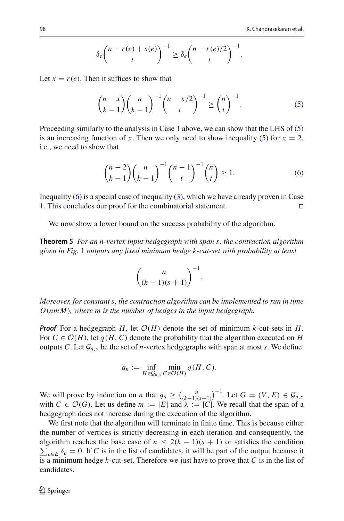$$
\delta_e \binom{n - r(e) + s(e)}{t}^{-1} \ge \delta_e \binom{n - r(e)/2}{t}^{-1}.
$$

Let  $x = r(e)$ . Then it suffices to show that

<span id="page-13-0"></span>
$$
\binom{n-x}{k-1}\binom{n}{k-1}^{-1}\binom{n-x/2}{t}^{-1} \ge \binom{n}{t}^{-1}.\tag{5}
$$

Proceeding similarly to the analysis in Case 1 above, we can show that the LHS of [\(5\)](#page-13-0) is an increasing function of *x*. Then we only need to show inequality [\(5\)](#page-13-0) for  $x = 2$ , i.e., we need to show that

<span id="page-13-1"></span>
$$
\binom{n-2}{k-1}\binom{n}{k-1}^{-1}\binom{n-1}{t}^{-1}\binom{n}{t} \ge 1.
$$
 (6)

Inequality [\(6\)](#page-13-1) is a special case of inequality [\(3\)](#page-12-0), which we have already proven in Case 1. This concludes our proof for the combinatorial statement.

<span id="page-13-2"></span>We now show a lower bound on the success probability of the algorithm.

**Theorem 5** *For an n-vertex input hedgegraph with span s, the contraction algorithm given in Fig.* [1](#page-10-0) *outputs any fixed minimum hedge k-cut-set with probability at least*

$$
\binom{n}{(k-1)(s+1)}^{-1}.
$$

*Moreover, for constant s, the contraction algorithm can be implemented to run in time O*(*nmM*)*, where m is the number of hedges in the input hedgegraph.*

*Proof* For a hedgegraph *H*, let  $O(H)$  denote the set of minimum *k*-cut-sets in *H*. For  $C \in \mathcal{O}(H)$ , let  $q(H, C)$  denote the probability that the algorithm executed on *H* outputs *C*. Let  $G_{n,s}$  be the set of *n*-vertex hedgegraphs with span at most *s*. We define

$$
q_n := \inf_{H \in \mathcal{G}_{n,s}} \min_{C \in \mathcal{O}(H)} q(H, C).
$$

We will prove by induction on *n* that  $q_n \geq {n \choose (k-1)(s+1)}^{-1}$ . Let  $G = (V, E) \in \mathcal{G}_n$ , with  $C \in \mathcal{O}(G)$ . Let us define  $m := |E|$  and  $\lambda := |C|$ . We recall that the span of a hedgegraph does not increase during the execution of the algorithm.

We first note that the algorithm will terminate in finite time. This is because either the number of vertices is strictly decreasing in each iteration and consequently, the  $\sum_{e \in E} \delta_e = 0$ . If *C* is in the list of candidates, it will be part of the output because it algorithm reaches the base case of  $n \leq 2(k-1)(s+1)$  or satisfies the condition is a minimum hedge *k*-cut-set. Therefore we just have to prove that *C* is in the list of candidates.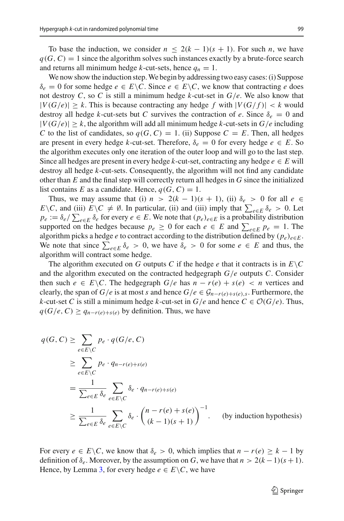To base the induction, we consider  $n \leq 2(k-1)(s+1)$ . For such *n*, we have  $q(G, C) = 1$  since the algorithm solves such instances exactly by a brute-force search and returns all minimum hedge *k*-cut-sets, hence  $q_n = 1$ .

We now show the induction step. We begin by addressing two easy cases: (i) Suppose  $\delta_e = 0$  for some hedge  $e \in E \backslash C$ . Since  $e \in E \backslash C$ , we know that contracting *e* does not destroy *C*, so *C* is still a minimum hedge *k*-cut-set in *G*/*e*. We also know that  $|V(G/e)| > k$ . This is because contracting any hedge f with  $|V(G/f)| < k$  would destroy all hedge *k*-cut-sets but *C* survives the contraction of *e*. Since  $\delta_e = 0$  and  $|V(G/e)| > k$ , the algorithm will add all minimum hedge *k*-cut-sets in  $G/e$  including *C* to the list of candidates, so  $q(G, C) = 1$ . (ii) Suppose  $C = E$ . Then, all hedges are present in every hedge *k*-cut-set. Therefore,  $\delta_e = 0$  for every hedge  $e \in E$ . So the algorithm executes only one iteration of the outer loop and will go to the last step. Since all hedges are present in every hedge *k*-cut-set, contracting any hedge  $e \in E$  will destroy all hedge *k*-cut-sets. Consequently, the algorithm will not find any candidate other than *E* and the final step will correctly return all hedges in *G* since the initialized list contains *E* as a candidate. Hence,  $q(G, C) = 1$ .

Thus, we may assume that (i)  $n > 2(k-1)(s+1)$ , (ii)  $\delta_e > 0$  for all  $e \in$ *E* \*C*, and (iii) *E* \*C*  $\neq$  Ø. In particular, (ii) and (iii) imply that  $\sum_{e \in E} \delta_e > 0$ . Let  $p_e := \delta_e / \sum_{e \in E} \delta_e$  for every  $e \in E$ . We note that  $(p_e)_{e \in E}$  is a probability distribution supported on the hedges because  $p_e \ge 0$  for each  $e \in E$  and  $\sum_{e \in E} p_e = 1$ . The algorithm picks a hedge *e* to contract according to the distribution defined by  $(p_e)_{e \in E}$ . We note that since  $\sum_{e \in E} \delta_e > 0$ , we have  $\delta_e > 0$  for some  $e \in E$  and thus, the algorithm will contract some hedge.

The algorithm executed on *G* outputs *C* if the hedge *e* that it contracts is in  $E\setminus C$ and the algorithm executed on the contracted hedgegraph *G*/*e* outputs *C*. Consider then such  $e \in E \backslash C$ . The hedgegraph  $G/e$  has  $n - r(e) + s(e) < n$  vertices and clearly, the span of *G*/*e* is at most *s* and hence  $G/e \in \mathcal{G}_{n-r(e)+s(e),s}$ . Furthermore, the *k*-cut-set *C* is still a minimum hedge *k*-cut-set in  $G/e$  and hence  $C \in \mathcal{O}(G/e)$ . Thus, *q*(*G*/*e*, *C*) ≥  $q_{n-r(e)+s(e)}$  by definition. Thus, we have

$$
q(G, C) \ge \sum_{e \in E \setminus C} p_e \cdot q(G/e, C)
$$
  
\n
$$
\ge \sum_{e \in E \setminus C} p_e \cdot q_{n-r(e)+s(e)}
$$
  
\n
$$
= \frac{1}{\sum_{e \in E} \delta_e} \sum_{e \in E \setminus C} \delta_e \cdot q_{n-r(e)+s(e)}
$$
  
\n
$$
\ge \frac{1}{\sum_{e \in E} \delta_e} \sum_{e \in E \setminus C} \delta_e \cdot {n-r(e) + s(e) \choose (k-1)(s+1)}^{-1}.
$$
 (by induction hypothesis)

For every  $e \in E \backslash C$ , we know that  $\delta_e > 0$ , which implies that  $n - r(e) \geq k - 1$  by definition of  $\delta_e$ . Moreover, by the assumption on *G*, we have that  $n > 2(k-1)(s+1)$ . Hence, by Lemma [3,](#page-11-1) for every hedge  $e \in E \backslash C$ , we have

 $\mathcal{D}$  Springer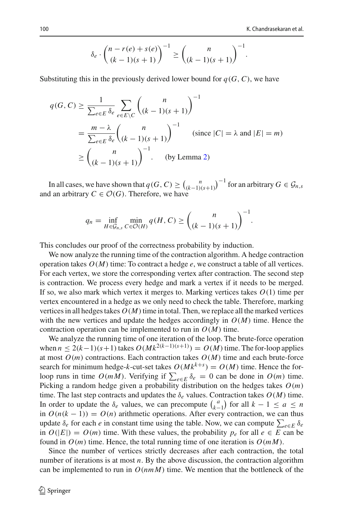$$
\delta_e \cdot \binom{n - r(e) + s(e)}{(k-1)(s+1)}^{-1} \ge \binom{n}{(k-1)(s+1)}^{-1}.
$$

Substituting this in the previously derived lower bound for  $q(G, C)$ , we have

$$
q(G, C) \ge \frac{1}{\sum_{e \in E} \delta_e} \sum_{e \in E \setminus C} {n \choose (k-1)(s+1)}^{-1}
$$
  
= 
$$
\frac{m - \lambda}{\sum_{e \in E} \delta_e} {n \choose (k-1)(s+1)}^{-1}
$$
 (since  $|C| = \lambda$  and  $|E| = m$ )  

$$
\ge {n \choose (k-1)(s+1)}^{-1}
$$
 (by Lemma 2)

In all cases, we have shown that  $q(G, C) \geq {n \choose (k-1)(s+1)}^{-1}$  for an arbitrary  $G \in \mathcal{G}_{n,s}$ and an arbitrary  $C \in \mathcal{O}(G)$ . Therefore, we have

$$
q_n = \inf_{H \in \mathcal{G}_{n,s}} \min_{C \in \mathcal{O}(H)} q(H, C) \ge \binom{n}{(k-1)(s+1)}^{-1}.
$$

This concludes our proof of the correctness probability by induction.

We now analyze the running time of the contraction algorithm. A hedge contraction operation takes  $O(M)$  time: To contract a hedge  $e$ , we construct a table of all vertices. For each vertex, we store the corresponding vertex after contraction. The second step is contraction. We process every hedge and mark a vertex if it needs to be merged. If so, we also mark which vertex it merges to. Marking vertices takes  $O(1)$  time per vertex encountered in a hedge as we only need to check the table. Therefore, marking vertices in all hedges takes  $O(M)$  time in total. Then, we replace all the marked vertices with the new vertices and update the hedges accordingly in  $O(M)$  time. Hence the contraction operation can be implemented to run in  $O(M)$  time.

We analyze the running time of one iteration of the loop. The brute-force operation when  $n \le 2(k-1)(s+1)$  takes  $O(Mk^{2(k-1)(s+1)}) = O(M)$  time. The for-loop applies at most  $O(m)$  contractions. Each contraction takes  $O(M)$  time and each brute-force search for minimum hedge-*k*-cut-set takes  $O(Mk^{k+s}) = O(M)$  time. Hence the forloop runs in time  $O(mM)$ . Verifying if  $\sum_{e \in E} \delta_e = 0$  can be done in  $O(m)$  time. Picking a random hedge given a probability distribution on the hedges takes  $O(m)$ time. The last step contracts and updates the  $\delta_e$  values. Contraction takes  $O(M)$  time. In order to update the  $\delta_e$  values, we can precompute  $\binom{a}{k-1}$  for all  $k-1 \le a \le n$ in  $O(n(k-1)) = O(n)$  arithmetic operations. After every contraction, we can thus update  $\delta_e$  for each *e* in constant time using the table. Now, we can compute  $\sum_{e \in E} \delta_e$ in  $O(|E|) = O(m)$  time. With these values, the probability  $p_e$  for all  $e \in E$  can be found in  $O(m)$  time. Hence, the total running time of one iteration is  $O(mM)$ .

Since the number of vertices strictly decreases after each contraction, the total number of iterations is at most *n*. By the above discussion, the contraction algorithm can be implemented to run in  $O(nmM)$  time. We mention that the bottleneck of the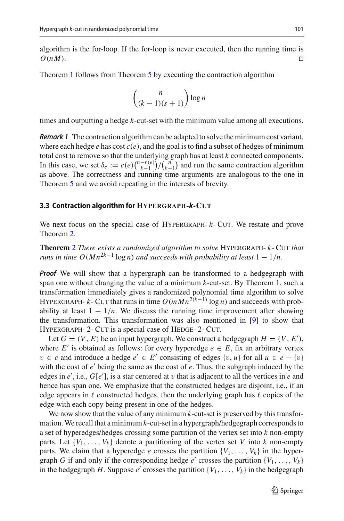algorithm is the for-loop. If the for-loop is never executed, then the running time is  $O(nM)$ .

Theorem [1](#page-3-0) follows from Theorem [5](#page-13-2) by executing the contraction algorithm

$$
\binom{n}{(k-1)(s+1)}\log n
$$

<span id="page-16-1"></span>times and outputting a hedge *k*-cut-set with the minimum value among all executions.

*Remark 1* The contraction algorithm can be adapted to solve the minimum cost variant, where each hedge  $e$  has cost  $c(e)$ , and the goal is to find a subset of hedges of minimum total cost to remove so that the underlying graph has at least *k* connected components. In this case, we set  $\delta_e := c(e) \binom{n-r(e)}{k-1} / \binom{n}{k-1}$  and run the same contraction algorithm as above. The correctness and running time arguments are analogous to the one in Theorem [5](#page-13-2) and we avoid repeating in the interests of brevity.

#### <span id="page-16-0"></span>**3.3 Contraction algorithm for HYPERGRAPH-***k***-CUT**

We next focus on the special case of HYPERGRAPH-  $k$ - CUT. We restate and prove Theorem [2.](#page-3-1)

**Theorem** [2](#page-3-1) *There exists a randomized algorithm to solve* Hypergraph- *k*- Cut *that runs in time O*( $Mn^{2k-1}$  log *n*) *and succeeds with probability at least*  $1 - 1/n$ .

*Proof* We will show that a hypergraph can be transformed to a hedgegraph with span one without changing the value of a minimum *k*-cut-set. By Theorem [1,](#page-3-0) such a transformation immediately gives a randomized polynomial time algorithm to solve HYPERGRAPH- *k*- CUT that runs in time  $O(mMn^{2(k-1)} \log n)$  and succeeds with probability at least  $1 - 1/n$ . We discuss the running time improvement after showing the transformation. This transformation was also mentioned in [\[9](#page-27-12)] to show that HYPERGRAPH- 2- CUT is a special case of HEDGE- 2- CUT.

Let  $G = (V, E)$  be an input hypergraph. We construct a hedgegraph  $H = (V, E'),$ where  $E'$  is obtained as follows: for every hyperedge  $e \in E$ , fix an arbitrary vertex *v* ∈ *e* and introduce a hedge  $e' \text{ } \in E'$  consisting of edges  $\{v, u\}$  for all  $u \in e - \{v\}$ with the cost of  $e'$  being the same as the cost of  $e$ . Thus, the subgraph induced by the edges in  $e'$ , i.e.,  $G[e']$ , is a star centered at v that is adjacent to all the vertices in  $e$  and hence has span one. We emphasize that the constructed hedges are disjoint, i.e., if an edge appears in  $\ell$  constructed hedges, then the underlying graph has  $\ell$  copies of the edge with each copy being present in one of the hedges.

We now show that the value of any minimum *k*-cut-set is preserved by this transformation.We recall that a minimum*k*-cut-set in a hypergraph/hedgegraph corresponds to a set of hyperedges/hedges crossing some partition of the vertex set into *k* non-empty parts. Let  $\{V_1, \ldots, V_k\}$  denote a partitioning of the vertex set *V* into *k* non-empty parts. We claim that a hyperedge *e* crosses the partition  $\{V_1, \ldots, V_k\}$  in the hypergraph *G* if and only if the corresponding hedge  $e'$  crosses the partition  $\{V_1, \ldots, V_k\}$ in the hedgegraph *H*. Suppose  $e'$  crosses the partition  $\{V_1, \ldots, V_k\}$  in the hedgegraph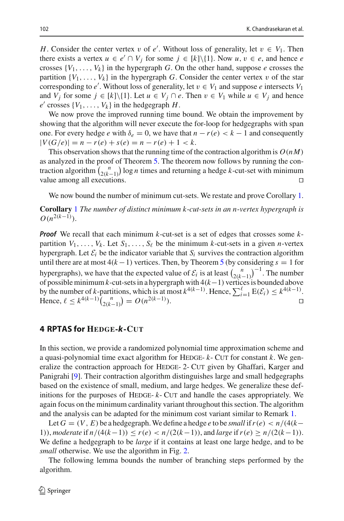*H*. Consider the center vertex v of  $e'$ . Without loss of generality, let  $v \in V_1$ . Then there exists a vertex  $u \in e' \cap V_j$  for some  $j \in [k] \setminus \{1\}$ . Now  $u, v \in e$ , and hence *e* crosses  $\{V_1, \ldots, V_k\}$  in the hypergraph *G*. On the other hand, suppose *e* crosses the partition  $\{V_1, \ldots, V_k\}$  in the hypergraph *G*. Consider the center vertex v of the star corresponding to *e'*. Without loss of generality, let  $v \in V_1$  and suppose *e* intersects  $V_1$ and *V<sub>i</sub>* for some  $j \in [k] \setminus \{1\}$ . Let  $u \in V_j \cap e$ . Then  $v \in V_1$  while  $u \in V_j$  and hence  $e'$  crosses  $\{V_1, \ldots, V_k\}$  in the hedgegraph *H*.

We now prove the improved running time bound. We obtain the improvement by showing that the algorithm will never execute the for-loop for hedgegraphs with span one. For every hedge *e* with  $\delta_e = 0$ , we have that  $n - r(e) < k - 1$  and consequently  $|V(G/e)| = n - r(e) + s(e) = n - r(e) + 1 < k$ .

This observation shows that the running time of the contraction algorithm is  $O(nM)$ as analyzed in the proof of Theorem [5.](#page-13-2) The theorem now follows by running the contraction algorithm  $\binom{n}{2(k-1)}$  log *n* times and returning a hedge *k*-cut-set with minimum value among all executions.

We now bound the number of minimum cut-sets. We restate and prove Corollary [1.](#page-3-2)

**Corollary** [1](#page-3-2) *The number of distinct minimum k*-*cut-sets in an n*-*vertex hypergraph is*  $O(n^{2(k-1)})$ .

*Proof* We recall that each minimum *k*-cut-set is a set of edges that crosses some *k*partition  $V_1, \ldots, V_k$ . Let  $S_1, \ldots, S_\ell$  be the minimum *k*-cut-sets in a given *n*-vertex hypergraph. Let  $\mathcal{E}_i$  be the indicator variable that  $S_i$  survives the contraction algorithm until there are at most  $4(k-1)$  vertices. Then, by Theorem [5](#page-13-2) (by considering  $s = 1$  for hypergraphs), we have that the expected value of  $\mathcal{E}_i$  is at least  $\left(\frac{n}{2(k-1)}\right)^{-1}$ . The number of possible minimum*k*-cut-sets in a hypergraph with 4(*k*−1) vertices is bounded above by the number of *k*-partitions, which is at most  $k^{4(k-1)}$ . Hence,  $\sum_{i=1}^{\ell} E(\mathcal{E}_i) \leq k^{4(k-1)}$ . Hence,  $\ell \leq k^{4(k-1)} \binom{n}{2(k-1)} = O(n^{2(k-1)})$  $\Box$ 

#### <span id="page-17-0"></span>**4 RPTAS for HEDGE-***k***-CUT**

In this section, we provide a randomized polynomial time approximation scheme and a quasi-polynomial time exact algorithm for HEDGE-  $k$ - CUT for constant  $k$ . We generalize the contraction approach for HEDGE-2- CUT given by Ghaffari, Karger and Panigrahi [\[9\]](#page-27-12). Their contraction algorithm distinguishes large and small hedgegraphs based on the existence of small, medium, and large hedges. We generalize these definitions for the purposes of HEDGE- $k$ - CUT and handle the cases appropriately. We again focus on the minimum cardinality variant throughout this section. The algorithm and the analysis can be adapted for the minimum cost variant similar to Remark [1.](#page-16-1)

Let  $G = (V, E)$  be a hedgegraph. We define a hedge *e* to be *small* if  $r(e) < n/(4(k-1))$ 1)), *moderate* if  $n/(4(k-1)) \le r(e) < n/(2(k-1))$ , and *large* if  $r(e) \ge n/(2(k-1))$ . We define a hedgegraph to be *large* if it contains at least one large hedge, and to be *small* otherwise. We use the algorithm in Fig. [2.](#page-18-0)

<span id="page-17-1"></span>The following lemma bounds the number of branching steps performed by the algorithm.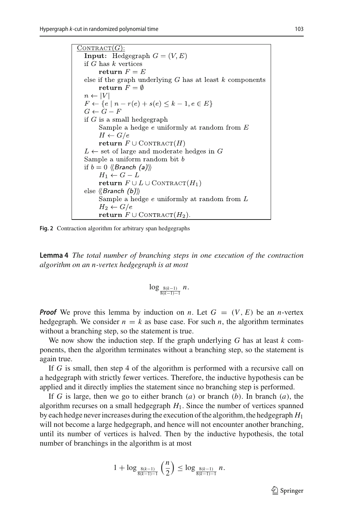$CONTRACT(G)$ : **Input:** Hedgegraph  $G = (V, E)$ if  $G$  has  $k$  vertices return  $F = E$ else if the graph underlying  $G$  has at least  $k$  components return  $F = \emptyset$  $n \leftarrow |V|$  $F \leftarrow \{e \mid n - r(e) + s(e) \leq k - 1, e \in E\}$  $G \leftarrow G - F$ if  $G$  is a small hedge graph Sample a hedge  $e$  uniformly at random from  $E$  $H \leftarrow G/e$ return  $F \cup$  CONTRACT $(H)$  $L \leftarrow$  set of large and moderate hedges in G Sample a uniform random bit  $b$ if  $b = 0 \langle \langle Branch (a) \rangle \rangle$  $H_1 \leftarrow G - L$ **return**  $F \cup L \cup \text{CONTRACT}(H_1)$ else  $\langle$ Branch (b) $\rangle$ Sample a hedge  $e$  uniformly at random from  $L$  $H_2 \leftarrow G/e$ **return**  $F \cup$  CONTRACT( $H_2$ ).

<span id="page-18-0"></span>**Fig. 2** Contraction algorithm for arbitrary span hedgegraphs

**Lemma 4** *The total number of branching steps in one execution of the contraction algorithm on an n-vertex hedgegraph is at most*

$$
\log_{\frac{8(k-1)}{8(k-1)-1}} n.
$$

*Proof* We prove this lemma by induction on *n*. Let  $G = (V, E)$  be an *n*-vertex hedgegraph. We consider  $n = k$  as base case. For such *n*, the algorithm terminates without a branching step, so the statement is true.

We now show the induction step. If the graph underlying *G* has at least *k* components, then the algorithm terminates without a branching step, so the statement is again true.

If *G* is small, then step 4 of the algorithm is performed with a recursive call on a hedgegraph with strictly fewer vertices. Therefore, the inductive hypothesis can be applied and it directly implies the statement since no branching step is performed.

If *G* is large, then we go to either branch (*a*) or branch (*b*). In branch (*a*), the algorithm recurses on a small hedgegraph *H*1. Since the number of vertices spanned by each hedge never increases during the execution of the algorithm, the hedgegraph *H*<sup>1</sup> will not become a large hedgegraph, and hence will not encounter another branching, until its number of vertices is halved. Then by the inductive hypothesis, the total number of branchings in the algorithm is at most

$$
1+\log_{\frac{8(k-1)}{8(k-1)-1}}\left(\frac{n}{2}\right)\leq \log_{\frac{8(k-1)}{8(k-1)-1}}n.
$$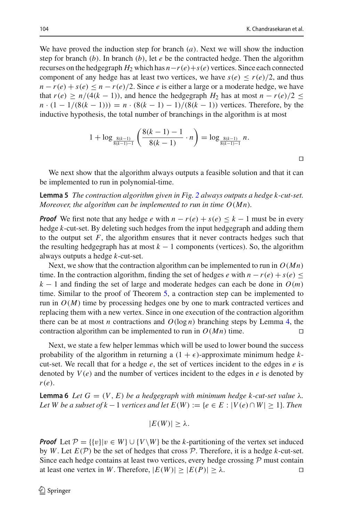We have proved the induction step for branch (*a*). Next we will show the induction step for branch  $(b)$ . In branch  $(b)$ , let *e* be the contracted hedge. Then the algorithm recurses on the hedgegraph  $H_2$  which has  $n-r(e)+s(e)$  vertices. Since each connected component of any hedge has at least two vertices, we have  $s(e) \le r(e)/2$ , and thus  $n - r(e) + s(e) \leq n - r(e)/2$ . Since *e* is either a large or a moderate hedge, we have that  $r(e) \ge n/(4(k-1))$ , and hence the hedgegraph  $H_2$  has at most  $n - r(e)/2 \le$  $n \cdot (1 - 1/(8(k-1))) = n \cdot (8(k-1) - 1)/(8(k-1))$  vertices. Therefore, by the inductive hypothesis, the total number of branchings in the algorithm is at most

<span id="page-19-1"></span>
$$
1 + \log_{\frac{8(k-1)}{8(k-1)-1}} \left( \frac{8(k-1)-1}{8(k-1)} \cdot n \right) = \log_{\frac{8(k-1)}{8(k-1)-1}} n.
$$

We next show that the algorithm always outputs a feasible solution and that it can be implemented to run in polynomial-time.

**Lemma 5** *The contraction algorithm given in Fig. [2](#page-18-0) always outputs a hedge k-cut-set. Moreover, the algorithm can be implemented to run in time O*(*Mn*)*.*

*Proof* We first note that any hedge *e* with  $n - r(e) + s(e) \leq k - 1$  must be in every hedge *k*-cut-set. By deleting such hedges from the input hedgegraph and adding them to the output set  $F$ , the algorithm ensures that it never contracts hedges such that the resulting hedgegraph has at most  $k - 1$  components (vertices). So, the algorithm always outputs a hedge *k*-cut-set.

Next, we show that the contraction algorithm can be implemented to run in  $O(Mn)$ time. In the contraction algorithm, finding the set of hedges *e* with  $n - r(e) + s(e) \leq$  $k - 1$  and finding the set of large and moderate hedges can each be done in  $O(m)$ time. Similar to the proof of Theorem [5,](#page-13-2) a contraction step can be implemented to run in  $O(M)$  time by processing hedges one by one to mark contracted vertices and replacing them with a new vertex. Since in one execution of the contraction algorithm there can be at most *n* contractions and  $O(\log n)$  branching steps by Lemma [4,](#page-17-1) the contraction algorithm can be implemented to run in  $O(Mn)$  time.

Next, we state a few helper lemmas which will be used to lower bound the success probability of the algorithm in returning a  $(1 + \epsilon)$ -approximate minimum hedge kcut-set. We recall that for a hedge *e*, the set of vertices incident to the edges in *e* is denoted by  $V(e)$  and the number of vertices incident to the edges in  $e$  is denoted by *r*(*e*).

<span id="page-19-0"></span>**Lemma 6** *Let*  $G = (V, E)$  *be a hedgegraph with minimum hedge k-cut-set value* λ. *Let W be a subset of k*  $-1$  *vertices and let E(W) := {* $e \in E : |V(e) \cap W| > 1$ *}. Then* 

 $|E(W)| > \lambda$ .

*Proof* Let  $P = \{v\} | v \in W$   $\cup \{V \setminus W\}$  be the *k*-partitioning of the vertex set induced by *W*. Let  $E(\mathcal{P})$  be the set of hedges that cross  $\mathcal{P}$ . Therefore, it is a hedge *k*-cut-set. Since each hedge contains at least two vertices, every hedge crossing  $P$  must contain at least one vertex in W. Therefore,  $|E(W)| \ge |E(P)| \ge \lambda$ . at least one vertex in *W*. Therefore,  $|E(W)| \ge |E(P)| \ge \lambda$ .

 $\Box$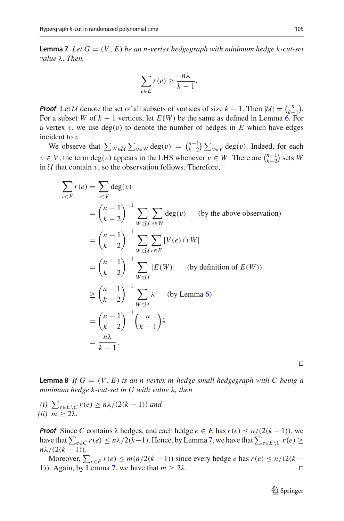<span id="page-20-0"></span>**Lemma 7** Let  $G = (V, E)$  be an n-vertex hedgegraph with minimum hedge k-cut-set *value* λ*. Then,*

$$
\sum_{e \in E} r(e) \ge \frac{n\lambda}{k-1}.
$$

*Proof* Let *U* denote the set of all subsets of vertices of size  $k - 1$ . Then  $|U| = {n \choose k-1}$ . For a subset *W* of *k* − 1 vertices, let *E*(*W*) be the same as defined in Lemma [6.](#page-19-0) For a vertex v, we use  $deg(v)$  to denote the number of hedges in E which have edges incident to v.

We observe that  $\sum_{W \in \mathcal{U}} \sum_{v \in W} \deg(v) = \binom{n-1}{k-2} \sum_{v \in V} \deg(v)$ . Indeed, for each *v* ∈ *V*, the term deg(*v*) appears in the LHS whenever *v* ∈ *W*. There are  $\binom{n-1}{k-2}$  sets *W* in  $U$  that contain  $v$ , so the observation follows. Therefore,

$$
\sum_{e \in E} r(e) = \sum_{v \in V} \deg(v)
$$
  
=  $\binom{n-1}{k-2}^{-1} \sum_{W \in \mathcal{U}} \sum_{v \in W} \deg(v)$  (by the above observation)  
=  $\binom{n-1}{k-2}^{-1} \sum_{W \in \mathcal{U}} \sum_{e \in E} |V(e) \cap W|$   
=  $\binom{n-1}{k-2}^{-1} \sum_{W \in \mathcal{U}} |E(W)|$  (by definition of  $E(W)$ )  
 $\geq \binom{n-1}{k-2}^{-1} \sum_{W \in \mathcal{U}} \lambda$  (by Lemma 6)  
=  $\binom{n-1}{k-2}^{-1} \binom{n}{k-1} \lambda$   
=  $\frac{n\lambda}{k-1}$ .

 $\Box$ 

<span id="page-20-1"></span>**Lemma 8** If  $G = (V, E)$  *is an n-vertex m-hedge small hedgegraph with* C *being a minimum hedge k-cut-set in G with value* λ*, then*

 $\sum_{e \in E \setminus C} r(e) \geq n\lambda/(2(k-1))$  *and (ii)*  $m \geq 2\lambda$ .

*Proof* Since *C* contains  $\lambda$  hedges, and each hedge  $e \in E$  has  $r(e) \leq n/(2(k-1))$ , we have that  $\sum_{e \in C} r(e) \leq n\lambda/2(k-1)$ . Hence, by Lemma [7,](#page-20-0) we have that  $\sum_{e \in E\setminus C} r(e) \geq$  $nλ/(2(k-1)).$ 

<span id="page-20-2"></span>Moreover,  $\sum_{e \in E} r(e) \leq m(n/2(k-1))$  since every hedge *e* has  $r(e) \leq n/(2(k-1))$ 1)). Again, by Lemma [7,](#page-20-0) we have that  $m \ge 2\lambda$ .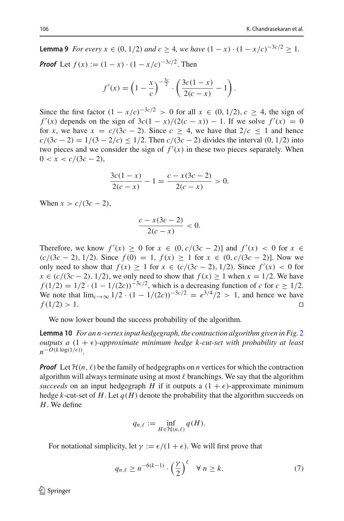**Lemma 9** *For every*  $x \in (0, 1/2)$  *and*  $c \ge 4$ *, we have*  $(1 - x) \cdot (1 - x/c)^{-3c/2} > 1$ *. Proof* Let  $f(x) := (1 - x) \cdot (1 - x/c)^{-3c/2}$ . Then

$$
f'(x) = \left(1 - \frac{x}{c}\right)^{-\frac{3c}{2}} \cdot \left(\frac{3c(1-x)}{2(c-x)} - 1\right).
$$

Since the first factor  $(1 - x/c)^{-3c/2}$  > 0 for all *x* ∈ (0, 1/2), *c* ≥ 4, the sign of  $f'(x)$  depends on the sign of  $3c(1-x)/(2(c-x)) - 1$ . If we solve  $f'(x) = 0$ for *x*, we have  $x = c/(3c - 2)$ . Since  $c > 4$ , we have that  $2/c < 1$  and hence  $c/(3c - 2) = 1/(3 - 2/c) \le 1/2$ . Then  $c/(3c - 2)$  divides the interval (0, 1/2) into two pieces and we consider the sign of  $f'(x)$  in these two pieces separately. When  $0 < x < c/(3c - 2),$ 

$$
\frac{3c(1-x)}{2(c-x)} - 1 = \frac{c - x(3c - 2)}{2(c - x)} > 0.
$$

When  $x > c/(3c - 2)$ ,

<span id="page-21-1"></span>
$$
\frac{c - x(3c - 2)}{2(c - x)} < 0.
$$

Therefore, we know  $f'(x) \ge 0$  for  $x \in (0, c/(3c-2)]$  and  $f'(x) < 0$  for  $x \in$  $(c/(3c-2), 1/2)$ . Since  $f(0) = 1$ ,  $f(x) > 1$  for  $x \in (0, c/(3c-2))$ . Now we only need to show that *f*(*x*) ≥ 1 for  $x \text{ ∈ } (c/(3c-2), 1/2)$ . Since  $f'(x) < 0$  for *x* ∈ (*c*/(3*c* − 2), 1/2), we only need to show that  $f(x) \ge 1$  when  $x = 1/2$ . We have *f* (1/2) = 1/2 ·  $(1 - 1/(2c))^{-3c/2}$ , which is a decreasing function of *c* for  $c \ge 1/2$ . We note that  $\lim_{c \to \infty} 1/2 \cdot (1 - 1/(2c))^{-3c/2} = e^{3/4}/2 > 1$ , and hence we have  $f(1/2) > 1$ . □  $f(1/2) > 1.$ 

We now lower bound the success probability of the algorithm.

**Lemma 10** *For an n-vertex input hedgegraph, the contraction algorithm given in Fig.* [2](#page-18-0) *outputs a*  $(1 + \epsilon)$ *-approximate minimum hedge k-cut-set with probability at least*  $n$ <sup>*-O*(*k* log(1/ $\epsilon$ ))</sup>

*Proof* Let  $\mathcal{H}(n, \ell)$  be the family of hedgegraphs on *n* vertices for which the contraction algorithm will always terminate using at most  $\ell$  branchings. We say that the algorithm *succeeds* on an input hedgegraph *H* if it outputs a  $(1 + \epsilon)$ -approximate minimum hedge *k*-cut-set of *H*. Let  $q(H)$  denote the probability that the algorithm succeeds on *H*. We define

$$
q_{n,\ell} := \inf_{H \in \mathcal{H}(n,\ell)} q(H).
$$

For notational simplicity, let  $\gamma := \epsilon/(1 + \epsilon)$ . We will first prove that

<span id="page-21-0"></span>
$$
q_{n,\ell} \ge n^{-6(k-1)} \cdot \left(\frac{\gamma}{2}\right)^{\ell} \quad \forall \ n \ge k. \tag{7}
$$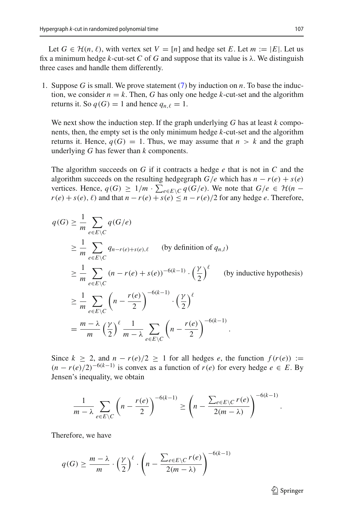Let  $G \in \mathcal{H}(n, \ell)$ , with vertex set  $V = [n]$  and hedge set *E*. Let  $m := |E|$ . Let us fix a minimum hedge *k*-cut-set *C* of *G* and suppose that its value is  $\lambda$ . We distinguish three cases and handle them differently.

1. Suppose *G* is small. We prove statement [\(7\)](#page-21-0) by induction on *n*. To base the induction, we consider  $n = k$ . Then, G has only one hedge  $k$ -cut-set and the algorithm returns it. So  $q(G) = 1$  and hence  $q_{n,\ell} = 1$ .

We next show the induction step. If the graph underlying *G* has at least *k* components, then, the empty set is the only minimum hedge *k*-cut-set and the algorithm returns it. Hence,  $q(G) = 1$ . Thus, we may assume that  $n > k$  and the graph underlying *G* has fewer than *k* components.

The algorithm succeeds on *G* if it contracts a hedge *e* that is not in *C* and the algorithm succeeds on the resulting hedgegraph  $G/e$  which has  $n - r(e) + s(e)$ vertices. Hence,  $q(G) \geq 1/m \cdot \sum_{e \in E \setminus C} q(G/e)$ . We note that  $G/e \in \mathcal{H}(n - \mathcal{H}(e))$  $r(e) + s(e)$ ,  $\ell$ ) and that  $n - r(e) + s(e) \leq n - r(e)/2$  for any hedge *e*. Therefore,

$$
q(G) \ge \frac{1}{m} \sum_{e \in E \backslash C} q(G/e)
$$
  
\n
$$
\ge \frac{1}{m} \sum_{e \in E \backslash C} q_{n-r(e)+s(e),\ell}
$$
 (by definition of  $q_{n,l}$ )  
\n
$$
\ge \frac{1}{m} \sum_{e \in E \backslash C} (n - r(e) + s(e))^{-6(k-1)} \cdot \left(\frac{\gamma}{2}\right)^{\ell}
$$
 (by inductive hypothesis)  
\n
$$
\ge \frac{1}{m} \sum_{e \in E \backslash C} \left(n - \frac{r(e)}{2}\right)^{-6(k-1)} \cdot \left(\frac{\gamma}{2}\right)^{\ell}
$$
  
\n
$$
= \frac{m - \lambda}{m} \left(\frac{\gamma}{2}\right)^{\ell} \frac{1}{m - \lambda} \sum_{e \in E \backslash C} \left(n - \frac{r(e)}{2}\right)^{-6(k-1)}.
$$

Since  $k \geq 2$ , and  $n - r(e)/2 \geq 1$  for all hedges *e*, the function  $f(r(e)) :=$  $(n - r(e)/2)^{-6(k-1)}$  is convex as a function of  $r(e)$  for every hedge  $e \in E$ . By Jensen's inequality, we obtain

$$
\frac{1}{m-\lambda}\sum_{e\in E\setminus C}\left(n-\frac{r(e)}{2}\right)^{-6(k-1)}\geq \left(n-\frac{\sum_{e\in E\setminus C}r(e)}{2(m-\lambda)}\right)^{-6(k-1)}
$$

Therefore, we have

$$
q(G) \ge \frac{m-\lambda}{m} \cdot \left(\frac{\gamma}{2}\right)^{\ell} \cdot \left(n - \frac{\sum_{e \in E \setminus C} r(e)}{2(m-\lambda)}\right)^{-6(k-1)}
$$

 $\mathcal{D}$  Springer

.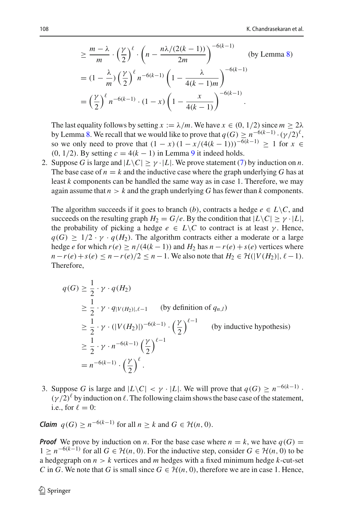$$
\geq \frac{m-\lambda}{m} \cdot \left(\frac{\gamma}{2}\right)^{\ell} \cdot \left(n - \frac{n\lambda/(2(k-1))}{2m}\right)^{-6(k-1)}
$$
 (by Lemma 8)  
= 
$$
(1 - \frac{\lambda}{m}) \left(\frac{\gamma}{2}\right)^{\ell} n^{-6(k-1)} \left(1 - \frac{\lambda}{4(k-1)m}\right)^{-6(k-1)}
$$
  
= 
$$
\left(\frac{\gamma}{2}\right)^{\ell} n^{-6(k-1)} \cdot (1 - x) \left(1 - \frac{x}{4(k-1)}\right)^{-6(k-1)}.
$$

The last equality follows by setting  $x := \lambda/m$ . We have  $x \in (0, 1/2)$  since  $m \ge 2\lambda$ by Lemma [8.](#page-20-1) We recall that we would like to prove that  $q(G) \geq n^{-6(k-1)} \cdot (\gamma/2)^{\ell}$ , so we only need to prove that  $(1 - x)(1 - x/(4(k-1)))^{-6(k-1)} \ge 1$  for *x* ∈ (0, 1/2). By setting  $c = 4(k - 1)$  in Lemma [9](#page-20-2) it indeed holds.

2. Suppose *G* is large and  $|L\backslash C| \geq \gamma \cdot |L|$ . We prove statement [\(7\)](#page-21-0) by induction on *n*. The base case of  $n = k$  and the inductive case where the graph underlying G has at least *k* components can be handled the same way as in case 1. Therefore, we may again assume that  $n > k$  and the graph underlying G has fewer than  $k$  components.

The algorithm succeeds if it goes to branch (*b*), contracts a hedge  $e \in L \backslash C$ , and succeeds on the resulting graph  $H_2 = G/e$ . By the condition that  $|L\setminus C| > \gamma \cdot |L|$ , the probability of picking a hedge  $e \in L \backslash C$  to contract is at least  $\gamma$ . Hence,  $q(G) \geq 1/2 \cdot \gamma \cdot q(H_2)$ . The algorithm contracts either a moderate or a large hedge *e* for which  $r(e) \ge n/(4(k-1))$  and  $H_2$  has  $n - r(e) + s(e)$  vertices where *n*−*r*(*e*) + *s*(*e*) ≤ *n*−*r*(*e*)/2 ≤ *n*−1. We also note that *H*<sub>2</sub> ∈ H(|*V*(*H*<sub>2</sub>)|,  $\ell$ −1). Therefore,

$$
q(G) \ge \frac{1}{2} \cdot \gamma \cdot q(H_2)
$$
  
\n
$$
\ge \frac{1}{2} \cdot \gamma \cdot q_{|V(H_2)|,\ell-1}
$$
 (by definition of  $q_{n,l}$ )  
\n
$$
\ge \frac{1}{2} \cdot \gamma \cdot (|V(H_2)|)^{-6(k-1)} \cdot \left(\frac{\gamma}{2}\right)^{\ell-1}
$$
 (by inductive hypothesis)  
\n
$$
\ge \frac{1}{2} \cdot \gamma \cdot n^{-6(k-1)} \left(\frac{\gamma}{2}\right)^{\ell-1}
$$
  
\n
$$
= n^{-6(k-1)} \cdot \left(\frac{\gamma}{2}\right)^{\ell}.
$$

3. Suppose *G* is large and  $|L\backslash C| < \gamma \cdot |L|$ . We will prove that  $q(G) \ge n^{-6(k-1)}$ .  $(\gamma/2)^{\ell}$  by induction on  $\ell$ . The following claim shows the base case of the statement, i.e., for  $\ell = 0$ :

*Claim*  $q(G) > n^{-6(k-1)}$  for all  $n > k$  and  $G \in \mathcal{H}(n, 0)$ .

*Proof* We prove by induction on *n*. For the base case where  $n = k$ , we have  $q(G) =$ 1 >  $n^{-6(k-1)}$  for all *G* ∈ *H*(*n*, 0). For the inductive step, consider *G* ∈ *H*(*n*, 0) to be a hedgegraph on  $n > k$  vertices and *m* hedges with a fixed minimum hedge  $k$ -cut-set *C* in *G*. We note that *G* is small since  $G \in \mathcal{H}(n, 0)$ , therefore we are in case 1. Hence,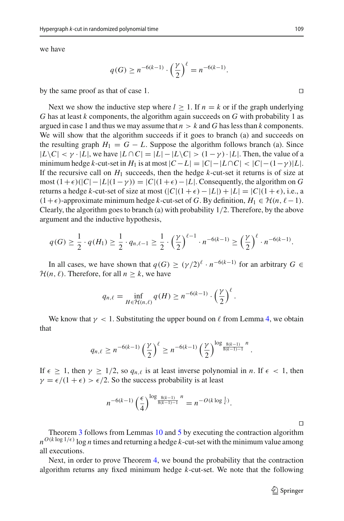we have

$$
q(G) \ge n^{-6(k-1)} \cdot \left(\frac{\gamma}{2}\right)^{\ell} = n^{-6(k-1)}.
$$

by the same proof as that of case 1.

Next we show the inductive step where  $l > 1$ . If  $n = k$  or if the graph underlying *G* has at least *k* components, the algorithm again succeeds on *G* with probability 1 as argued in case 1 and thus we may assume that  $n > k$  and G has less than k components. We will show that the algorithm succeeds if it goes to branch (a) and succeeds on the resulting graph  $H_1 = G - L$ . Suppose the algorithm follows branch (a). Since  $|L\setminus C| < \gamma \cdot |L|$ , we have  $|L \cap C| = |L| - |L\setminus C| > (1 - \gamma) \cdot |L|$ . Then, the value of a minimum hedge *k*-cut-set in  $H_1$  is at most  $|C - L| = |C| - |L \cap C| < |C| - (1 - \gamma)|L|$ . If the recursive call on  $H_1$  succeeds, then the hedge  $k$ -cut-set it returns is of size at most  $(1+\epsilon)(|C|-|L|(1-\gamma)) = |C|(1+\epsilon)-|L|$ . Consequently, the algorithm on *G* returns a hedge *k*-cut-set of size at most  $(|C|(1 + \epsilon) - |L|) + |L| = |C|(1 + \epsilon)$ , i.e., a  $(1+\epsilon)$ -approximate minimum hedge *k*-cut-set of *G*. By definition,  $H_1 \in \mathcal{H}(n, \ell-1)$ . Clearly, the algorithm goes to branch (a) with probability 1/2. Therefore, by the above argument and the inductive hypothesis,

$$
q(G) \ge \frac{1}{2} \cdot q(H_1) \ge \frac{1}{2} \cdot q_{n,\ell-1} \ge \frac{1}{2} \cdot \left(\frac{\gamma}{2}\right)^{\ell-1} \cdot n^{-6(k-1)} \ge \left(\frac{\gamma}{2}\right)^{\ell} \cdot n^{-6(k-1)}.
$$

In all cases, we have shown that  $q(G) \geq (\gamma/2)^{\ell} \cdot n^{-6(k-1)}$  for an arbitrary  $G \in$  $H(n, \ell)$ . Therefore, for all  $n \geq k$ , we have

$$
q_{n,\ell} = \inf_{H \in \mathcal{H}(n,\ell)} q(H) \ge n^{-6(k-1)} \cdot \left(\frac{\gamma}{2}\right)^{\ell}.
$$

We know that  $\gamma < 1$ . Substituting the upper bound on  $\ell$  from Lemma [4,](#page-17-1) we obtain that

$$
q_{n,\ell} \ge n^{-6(k-1)} \left(\frac{\gamma}{2}\right)^{\ell} \ge n^{-6(k-1)} \left(\frac{\gamma}{2}\right)^{\log \frac{8(k-1)}{8(k-1)-1}n}.
$$

If  $\epsilon \geq 1$ , then  $\gamma \geq 1/2$ , so  $q_{n,\ell}$  is at least inverse polynomial in *n*. If  $\epsilon < 1$ , then  $\gamma = \epsilon/(1 + \epsilon) > \epsilon/2$ . So the success probability is at least

$$
n^{-6(k-1)}\left(\frac{\epsilon}{4}\right)^{\log_{\frac{8(k-1)}{8(k-1)-1}}n}=n^{-O(k\log_{\epsilon}^{\frac{1}{k}})}.
$$

 $\Box$ 

Theorem [3](#page-4-0) follows from Lemmas [10](#page-21-1) and [5](#page-19-1) by executing the contraction algorithm  $n^{O(k \log 1/\epsilon)}$  log *n* times and returning a hedge *k*-cut-set with the minimum value among all executions.

Next, in order to prove Theorem [4,](#page-4-1) we bound the probability that the contraction algorithm returns any fixed minimum hedge *k*-cut-set. We note that the following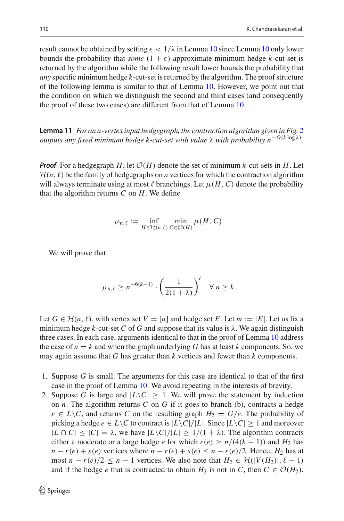result cannot be obtained by setting  $\epsilon < 1/\lambda$  in Lemma [10](#page-21-1) since Lemma 10 only lower bounds the probability that *some*  $(1 + \epsilon)$ -approximate minimum hedge *k*-cut-set is returned by the algorithm while the following result lower bounds the probability that *any* specific minimum hedge *k*-cut-set is returned by the algorithm. The proof structure of the following lemma is similar to that of Lemma [10.](#page-21-1) However, we point out that the condition on which we distinguish the second and third cases (and consequently the proof of these two cases) are different from that of Lemma [10.](#page-21-1)

<span id="page-25-0"></span>**Lemma 11** *For an n-vertex input hedgegraph, the contraction algorithm given in Fig. [2](#page-18-0) outputs any fixed minimum hedge k-cut-set with value* λ *with probability n*−*O*(*<sup>k</sup>* log λ)*.*

*Proof* For a hedgegraph *H*, let  $\mathcal{O}(H)$  denote the set of minimum *k*-cut-sets in *H*. Let  $\mathcal{H}(n, \ell)$  be the family of hedgegraphs on *n* vertices for which the contraction algorithm will always terminate using at most  $\ell$  branchings. Let  $\mu(H, C)$  denote the probability that the algorithm returns *C* on *H*. We define

$$
\mu_{n,\ell} := \inf_{H \in \mathcal{H}(n,\ell)} \min_{C \in \mathcal{O}(H)} \mu(H, C).
$$

We will prove that

$$
\mu_{n,\ell} \ge n^{-6(k-1)} \cdot \left(\frac{1}{2(1+\lambda)}\right)^{\ell} \quad \forall n \ge k.
$$

Let  $G \in \mathcal{H}(n, \ell)$ , with vertex set  $V = [n]$  and hedge set *E*. Let  $m := |E|$ . Let us fix a minimum hedge *k*-cut-set *C* of *G* and suppose that its value is  $\lambda$ . We again distinguish three cases. In each case, arguments identical to that in the proof of Lemma [10](#page-21-1) address the case of  $n = k$  and when the graph underlying G has at least k components. So, we may again assume that *G* has greater than *k* vertices and fewer than *k* components.

- 1. Suppose *G* is small. The arguments for this case are identical to that of the first case in the proof of Lemma [10.](#page-21-1) We avoid repeating in the interests of brevity.
- 2. Suppose *G* is large and  $|L\setminus C| \geq 1$ . We will prove the statement by induction on *n*. The algorithm returns *C* on *G* if it goes to branch (b), contracts a hedge  $e \in L \backslash C$ , and returns *C* on the resulting graph  $H_2 = G/e$ . The probability of picking a hedge  $e \in L \backslash C$  to contract is  $|L \backslash C|/|L|$ . Since  $|L \backslash C| \geq 1$  and moreover  $|L \cap C| \leq |C| = \lambda$ , we have  $|L \setminus C|/|L| \geq 1/(1 + \lambda)$ . The algorithm contracts either a moderate or a large hedge *e* for which  $r(e) \ge n/(4(k-1))$  and  $H_2$  has  $n - r(e) + s(e)$  vertices where  $n - r(e) + s(e) \leq n - r(e)/2$ . Hence,  $H_2$  has at most  $n - r(e)/2 \leq n - 1$  vertices. We also note that  $H_2 \in \mathcal{H}(|V(H_2)|, \ell - 1)$ and if the hedge *e* that is contracted to obtain  $H_2$  is not in *C*, then  $C \in \mathcal{O}(H_2)$ .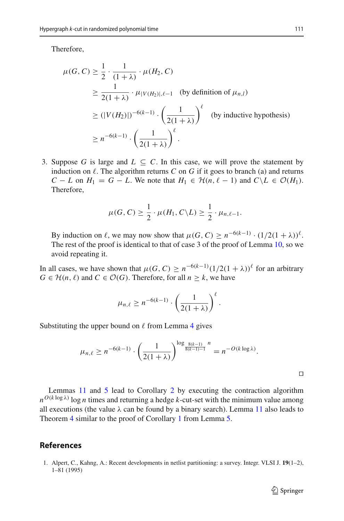Therefore,

$$
\mu(G, C) \ge \frac{1}{2} \cdot \frac{1}{(1+\lambda)} \cdot \mu(H_2, C)
$$
  
\n
$$
\ge \frac{1}{2(1+\lambda)} \cdot \mu_{|V(H_2)|, \ell-1} \quad \text{(by definition of } \mu_{n,l})
$$
  
\n
$$
\ge (|V(H_2)|)^{-6(k-1)} \cdot \left(\frac{1}{2(1+\lambda)}\right)^{\ell} \quad \text{(by inductive hypothesis)}
$$
  
\n
$$
\ge n^{-6(k-1)} \cdot \left(\frac{1}{2(1+\lambda)}\right)^{\ell}.
$$

3. Suppose *G* is large and  $L \subseteq C$ . In this case, we will prove the statement by induction on  $\ell$ . The algorithm returns  $C$  on  $G$  if it goes to branch (a) and returns *C* − *L* on  $H_1 = G - L$ . We note that  $H_1 \n∈ H(n, \ell - 1)$  and  $C \n\setminus L \n∈ \mathcal{O}(H_1)$ . Therefore,

$$
\mu(G, C) \geq \frac{1}{2} \cdot \mu(H_1, C \backslash L) \geq \frac{1}{2} \cdot \mu_{n, \ell-1}.
$$

By induction on  $\ell$ , we may now show that  $\mu(G, C) \geq n^{-6(k-1)} \cdot (1/2(1+\lambda))^{\ell}$ . The rest of the proof is identical to that of case 3 of the proof of Lemma [10,](#page-21-1) so we avoid repeating it.

In all cases, we have shown that  $\mu(G, C) \ge n^{-6(k-1)} (1/2(1 + \lambda))^{\ell}$  for an arbitrary *G* ∈  $H(n, \ell)$  and *C* ∈  $O(G)$ . Therefore, for all *n* ≥ *k*, we have

$$
\mu_{n,\ell} \ge n^{-6(k-1)} \cdot \left(\frac{1}{2(1+\lambda)}\right)^{\ell}.
$$

Substituting the upper bound on  $\ell$  from Lemma [4](#page-17-1) gives

$$
\mu_{n,\ell} \ge n^{-6(k-1)} \cdot \left(\frac{1}{2(1+\lambda)}\right)^{\log \frac{8(k-1)}{8(k-1)-1}n} = n^{-O(k \log \lambda)}.
$$

Lemmas [11](#page-25-0) and [5](#page-19-1) lead to Corollary [2](#page-4-2) by executing the contraction algorithm  $n^{O(k \log \lambda)}$  log *n* times and returning a hedge *k*-cut-set with the minimum value among all executions (the value  $\lambda$  can be found by a binary search). Lemma [11](#page-25-0) also leads to Theorem [4](#page-4-1) similar to the proof of Corollary [1](#page-3-2) from Lemma [5.](#page-13-2)

## **References**

<span id="page-26-0"></span>1. Alpert, C., Kahng, A.: Recent developments in netlist partitioning: a survey. Integr. VLSI J. **19**(1–2), 1–81 (1995)

 $\Box$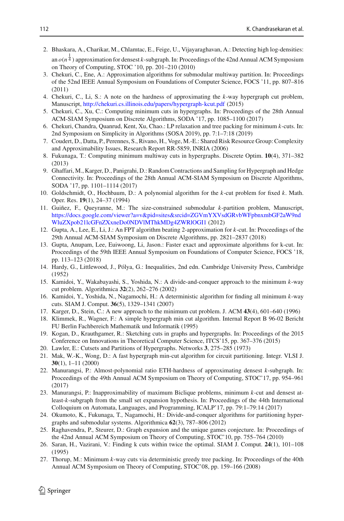- <span id="page-27-21"></span>2. Bhaskara, A., Charikar, M., Chlamtac, E., Feige, U., Vijayaraghavan, A.: Detecting high log-densities: an *o*(*n* 1 4 ) approximation for densest *k*-subgraph. In: Proceedings of the 42nd Annual ACM Symposium on Theory of Computing, STOC '10, pp. 201–210 (2010)
- <span id="page-27-24"></span>3. Chekuri, C., Ene, A.: Approximation algorithms for submodular multiway partition. In: Proceedings of the 52nd IEEE Annual Symposium on Foundations of Computer Science, FOCS '11, pp. 807–816 (2011)
- <span id="page-27-19"></span>4. Chekuri, C., Li, S.: A note on the hardness of approximating the *k*-way hypergraph cut problem, Manuscript, <http://chekuri.cs.illinois.edu/papers/hypergraph-kcut.pdf> (2015)
- <span id="page-27-14"></span>5. Chekuri, C., Xu, C.: Computing minimum cuts in hypergraphs. In: Proceedings of the 28th Annual ACM-SIAM Symposium on Discrete Algorithms, SODA '17, pp. 1085–1100 (2017)
- <span id="page-27-6"></span>6. Chekuri, Chandra, Quanrud, Kent, Xu, Chao.: LP relaxation and tree packing for minimum *k*-cuts. In: 2nd Symposium on Simplicity in Algorithms (SOSA 2019), pp. 7:1–7:18 (2019)
- <span id="page-27-13"></span>7. Coudert, D., Datta, P., Perennes, S., Rivano, H., Voge, M.-E.: Shared Risk Resource Group: Complexity and Approximability Issues, Research Report RR-5859, INRIA (2006)
- <span id="page-27-10"></span>8. Fukunaga, T.: Computing minimum multiway cuts in hypergraphs. Discrete Optim. **10**(4), 371–382 (2013)
- <span id="page-27-12"></span>9. Ghaffari, M., Karger, D., Panigrahi, D.: Random Contractions and Sampling for Hypergraph and Hedge Connectivity. In: Proceedings of the 28th Annual ACM-SIAM Symposium on Discrete Algorithms, SODA '17, pp. 1101–1114 (2017)
- <span id="page-27-1"></span>10. Goldschmidt, O., Hochbaum, D.: A polynomial algorithm for the *k*-cut problem for fixed *k*. Math. Oper. Res. **19**(1), 24–37 (1994)
- <span id="page-27-23"></span>11. Guiñez, F., Queyranne, M.: The size-constrained submodular *k*-partition problem, Manuscript, [https://docs.google.com/viewer?a=v&pid=sites&srcid=ZGVmYXVsdGRvbWFpbnxmbGF2aW9nd](https://docs.google.com/viewer?a=v&pid=sites&srcid=ZGVmYXVsdGRvbWFpbnxmbGF2aW9ndWluZXpob21lcGFnZXxneDo0NDVlMThkMDg4ZWRlOGI1) [WluZXpob21lcGFnZXxneDo0NDVlMThkMDg4ZWRlOGI1](https://docs.google.com/viewer?a=v&pid=sites&srcid=ZGVmYXVsdGRvbWFpbnxmbGF2aW9ndWluZXpob21lcGFnZXxneDo0NDVlMThkMDg4ZWRlOGI1) (2012)
- <span id="page-27-18"></span>12. Gupta, A., Lee, E., Li, J.: An FPT algorithm beating 2-approximation for *k*-cut. In: Proceedings of the 29th Annual ACM-SIAM Symposium on Discrete Algorithms, pp. 2821–2837 (2018)
- <span id="page-27-7"></span>13. Gupta, Anupam, Lee, Euiwoong, Li, Jason.: Faster exact and approximate algorithms for k-cut. In: Proceedings of the 59th IEEE Annual Symposium on Foundations of Computer Science, FOCS '18, pp. 113–123 (2018)
- <span id="page-27-25"></span>14. Hardy, G., Littlewood, J., Pólya, G.: Inequalities, 2nd edn. Cambridge University Press, Cambridge (1952)
- <span id="page-27-3"></span>15. Kamidoi, Y., Wakabayashi, S., Yoshida, N.: A divide-and-conquer approach to the minimum *k*-way cut problem. Algorithmica **32**(2), 262–276 (2002)
- <span id="page-27-4"></span>16. Kamidoi, Y., Yoshida, N., Nagamochi, H.: A deterministic algorithm for finding all minimum *k*-way cuts. SIAM J. Comput. **36**(5), 1329–1341 (2007)
- <span id="page-27-2"></span>17. Karger, D., Stein, C.: A new approach to the minimum cut problem. J. ACM **43**(4), 601–640 (1996)
- <span id="page-27-8"></span>18. Klimmek, R., Wagner, F.: A simple hypergraph min cut algorithm. Internal Report B 96-02 Bericht FU Berlin Fachbereich Mathematik und Informatik (1995)
- <span id="page-27-11"></span>19. Kogan, D., Krauthgamer, R.: Sketching cuts in graphs and hypergraphs. In: Proceedings of the 2015 Conference on Innovations in Theoretical Computer Science, ITCS'15, pp. 367–376 (2015)
- <span id="page-27-0"></span>20. Lawler, E.: Cutsets and Partitions of Hypergraphs. Networks **3**, 275–285 (1973)
- <span id="page-27-9"></span>21. Mak, W.-K., Wong, D.: A fast hypergraph min-cut algorithm for circuit partitioning. Integr. VLSI J. **30**(1), 1–11 (2000)
- <span id="page-27-20"></span>22. Manurangsi, P.: Almost-polynomial ratio ETH-hardness of approximating densest *k*-subgraph. In: Proceedings of the 49th Annual ACM Symposium on Theory of Computing, STOC'17, pp. 954–961 (2017)
- <span id="page-27-16"></span>23. Manurangsi, P.: Inapproximability of maximum Biclique problems, minimum *k*-cut and densest atleast-*k*-subgraph from the small set expansion hypothesis. In: Proceedings of the 44th International Colloquium on Automata, Languages, and Programming, ICALP'17, pp. 79:1–79:14 (2017)
- <span id="page-27-22"></span>24. Okumoto, K., Fukunaga, T., Nagamochi, H.: Divide-and-conquer algorithms for partitioning hypergraphs and submodular systems. Algorithmica **62**(3), 787–806 (2012)
- <span id="page-27-17"></span>25. Raghavendra, P., Steurer, D.: Graph expansion and the unique games conjecture. In: Proceedings of the 42nd Annual ACM Symposium on Theory of Computing, STOC'10, pp. 755–764 (2010)
- <span id="page-27-15"></span>26. Saran, H., Vazirani, V.: Finding k cuts within twice the optimal. SIAM J. Comput. **24**(1), 101–108 (1995)
- <span id="page-27-5"></span>27. Thorup, M.: Minimum *k*-way cuts via deterministic greedy tree packing. In: Proceedings of the 40th Annual ACM Symposium on Theory of Computing, STOC'08, pp. 159–166 (2008)